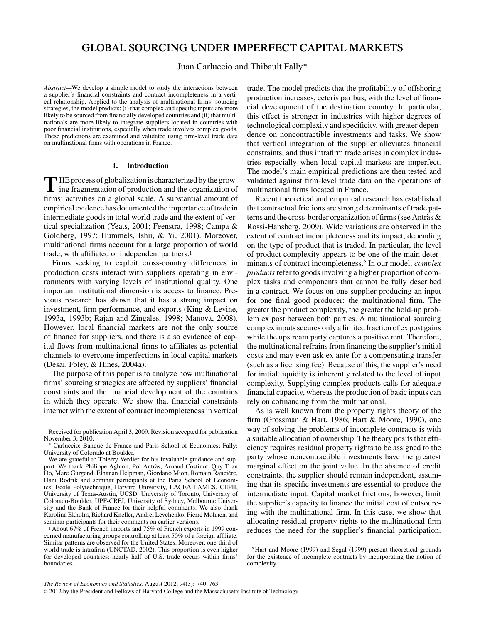# **GLOBAL SOURCING UNDER IMPERFECT CAPITAL MARKETS**

# Juan Carluccio and Thibault Fally\*

*Abstract—*We develop a simple model to study the interactions between a supplier's financial constraints and contract incompleteness in a vertical relationship. Applied to the analysis of multinational firms' sourcing strategies, the model predicts: (i) that complex and specific inputs are more likely to be sourced from financially developed countries and (ii) that multinationals are more likely to integrate suppliers located in countries with poor financial institutions, especially when trade involves complex goods. These predictions are examined and validated using firm-level trade data on multinational firms with operations in France.

### **I. Introduction**

T HE process of globalization is characterized by the growing fragmentation of production and the organization of firms' activities on a global scale. A substantial amount of empirical evidence has documented the importance of trade in intermediate goods in total world trade and the extent of vertical specialization (Yeats, 2001; Feenstra, 1998; Campa & Goldberg, 1997; Hummels, Ishii, & Yi, 2001). Moreover, multinational firms account for a large proportion of world trade, with affiliated or independent partners.1

Firms seeking to exploit cross-country differences in production costs interact with suppliers operating in environments with varying levels of institutional quality. One important institutional dimension is access to finance. Previous research has shown that it has a strong impact on investment, firm performance, and exports (King & Levine, 1993a, 1993b; Rajan and Zingales, 1998; Manova, 2008). However, local financial markets are not the only source of finance for suppliers, and there is also evidence of capital flows from multinational firms to affiliates as potential channels to overcome imperfections in local capital markets (Desai, Foley, & Hines, 2004a).

The purpose of this paper is to analyze how multinational firms' sourcing strategies are affected by suppliers' financial constraints and the financial development of the countries in which they operate. We show that financial constraints interact with the extent of contract incompleteness in vertical

<sup>1</sup> About 67% of French imports and 75% of French exports in 1999 concerned manufacturing groups controlling at least 50% of a foreign affiliate. Similar patterns are observed for the United States. Moreover, one-third of world trade is intrafirm (UNCTAD, 2002). This proportion is even higher for developed countries: nearly half of U.S. trade occurs within firms' boundaries.

trade. The model predicts that the profitability of offshoring production increases, ceteris paribus, with the level of financial development of the destination country. In particular, this effect is stronger in industries with higher degrees of technological complexity and specificity, with greater dependence on noncontractible investments and tasks. We show that vertical integration of the supplier alleviates financial constraints, and thus intrafirm trade arises in complex industries especially when local capital markets are imperfect. The model's main empirical predictions are then tested and validated against firm-level trade data on the operations of multinational firms located in France.

Recent theoretical and empirical research has established that contractual frictions are strong determinants of trade patterns and the cross-border organization of firms (see Antràs & Rossi-Hansberg, 2009). Wide variations are observed in the extent of contract incompleteness and its impact, depending on the type of product that is traded. In particular, the level of product complexity appears to be one of the main determinants of contract incompleteness.2 In our model, *complex products*refer to goods involving a higher proportion of complex tasks and components that cannot be fully described in a contract. We focus on one supplier producing an input for one final good producer: the multinational firm. The greater the product complexity, the greater the hold-up problem ex post between both parties. A multinational sourcing complex inputs secures only a limited fraction of ex post gains while the upstream party captures a positive rent. Therefore, the multinational refrains from financing the supplier's initial costs and may even ask ex ante for a compensating transfer (such as a licensing fee). Because of this, the supplier's need for initial liquidity is inherently related to the level of input complexity. Supplying complex products calls for adequate financial capacity, whereas the production of basic inputs can rely on cofinancing from the multinational.

As is well known from the property rights theory of the firm (Grossman & Hart, 1986; Hart & Moore, 1990), one way of solving the problems of incomplete contracts is with a suitable allocation of ownership. The theory posits that efficiency requires residual property rights to be assigned to the party whose noncontractible investments have the greatest marginal effect on the joint value. In the absence of credit constraints, the supplier should remain independent, assuming that its specific investments are essential to produce the intermediate input. Capital market frictions, however, limit the supplier's capacity to finance the initial cost of outsourcing with the multinational firm. In this case, we show that allocating residual property rights to the multinational firm reduces the need for the supplier's financial participation.

Received for publication April 3, 2009. Revision accepted for publication November 3, 2010.<br><sup>∗</sup> Carluccio: Banque de France and Paris School of Economics; Fally:

University of Colorado at Boulder.

We are grateful to Thierry Verdier for his invaluable guidance and support. We thank Philippe Aghion, Pol Antràs, Arnaud Costinot, Quy-Toan Do, Marc Gurgand, Elhanan Helpman, Giordano Mion, Romain Rancière, Dani Rodrik and seminar participants at the Paris School of Economics, Ecole Polytechnique, Harvard University, LACEA-LAMES, CEPII, University of Texas-Austin, UCSD, University of Toronto, University of Colorado-Boulder, UPF-CREI, University of Sydney, Melbourne University and the Bank of France for their helpful comments. We also thank Karolina Ekholm, Richard Kneller, Andrei Levchenko, Pierre Mohnen, and seminar participants for their comments on earlier versions.

<sup>2</sup> Hart and Moore (1999) and Segal (1999) present theoretical grounds for the existence of incomplete contracts by incorporating the notion of complexity.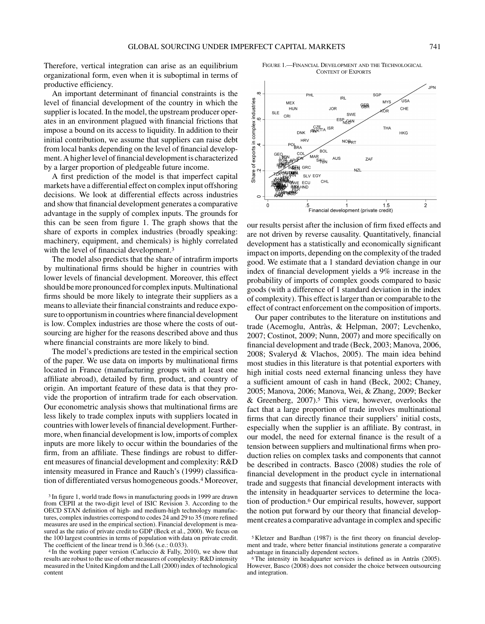Therefore, vertical integration can arise as an equilibrium organizational form, even when it is suboptimal in terms of productive efficiency.

An important determinant of financial constraints is the level of financial development of the country in which the supplier is located. In the model, the upstream producer operates in an environment plagued with financial frictions that impose a bound on its access to liquidity. In addition to their initial contribution, we assume that suppliers can raise debt from local banks depending on the level of financial development. A higher level of financial development is characterized by a larger proportion of pledgeable future income.

A first prediction of the model is that imperfect capital markets have a differential effect on complex input offshoring decisions. We look at differential effects across industries and show that financial development generates a comparative advantage in the supply of complex inputs. The grounds for this can be seen from figure 1. The graph shows that the share of exports in complex industries (broadly speaking: machinery, equipment, and chemicals) is highly correlated with the level of financial development.<sup>3</sup>

The model also predicts that the share of intrafirm imports by multinational firms should be higher in countries with lower levels of financial development. Moreover, this effect should be more pronounced for complex inputs. Multinational firms should be more likely to integrate their suppliers as a means to alleviate their financial constraints and reduce exposure to opportunism in countries where financial development is low. Complex industries are those where the costs of outsourcing are higher for the reasons described above and thus where financial constraints are more likely to bind.

The model's predictions are tested in the empirical section of the paper. We use data on imports by multinational firms located in France (manufacturing groups with at least one affiliate abroad), detailed by firm, product, and country of origin. An important feature of these data is that they provide the proportion of intrafirm trade for each observation. Our econometric analysis shows that multinational firms are less likely to trade complex inputs with suppliers located in countries with lower levels of financial development. Furthermore, when financial development is low, imports of complex inputs are more likely to occur within the boundaries of the firm, from an affiliate. These findings are robust to different measures of financial development and complexity: R&D intensity measured in France and Rauch's (1999) classification of differentiated versus homogeneous goods.4 Moreover,

Figure 1.—Financial Development and the Technological CONTENT OF EXPORTS



our results persist after the inclusion of firm fixed effects and are not driven by reverse causality. Quantitatively, financial development has a statistically and economically significant impact on imports, depending on the complexity of the traded good. We estimate that a 1 standard deviation change in our index of financial development yields a 9% increase in the probability of imports of complex goods compared to basic goods (with a difference of 1 standard deviation in the index of complexity). This effect is larger than or comparable to the effect of contract enforcement on the composition of imports.

Our paper contributes to the literature on institutions and trade (Acemoglu, Antràs, & Helpman, 2007; Levchenko, 2007; Costinot, 2009; Nunn, 2007) and more specifically on financial development and trade (Beck, 2003; Manova, 2006, 2008; Svaleryd & Vlachos, 2005). The main idea behind most studies in this literature is that potential exporters with high initial costs need external financing unless they have a sufficient amount of cash in hand (Beck, 2002; Chaney, 2005; Manova, 2006; Manova, Wei, & Zhang, 2009; Becker & Greenberg, 2007).5 This view, however, overlooks the fact that a large proportion of trade involves multinational firms that can directly finance their suppliers' initial costs, especially when the supplier is an affiliate. By contrast, in our model, the need for external finance is the result of a tension between suppliers and multinational firms when production relies on complex tasks and components that cannot be described in contracts. Basco (2008) studies the role of financial development in the product cycle in international trade and suggests that financial development interacts with the intensity in headquarter services to determine the location of production.6 Our empirical results, however, support the notion put forward by our theory that financial development creates a comparative advantage in complex and specific

<sup>3</sup> In figure 1, world trade flows in manufacturing goods in 1999 are drawn from CEPII at the two-digit level of ISIC Revision 3. According to the OECD STAN definition of high- and medium-high technology manufactures, complex industries correspond to codes 24 and 29 to 35 (more refined measures are used in the empirical section). Financial development is measured as the ratio of private credit to GDP (Beck et al., 2000). We focus on the 100 largest countries in terms of population with data on private credit. The coefficient of the linear trend is 0.366 (s.e.: 0.033).

<sup>4</sup> In the working paper version (Carluccio & Fally, 2010), we show that results are robust to the use of other measures of complexity: R&D intensity measured in the United Kingdom and the Lall (2000) index of technological content

<sup>5</sup> Kletzer and Bardhan (1987) is the first theory on financial development and trade, where better financial institutions generate a comparative advantage in financially dependent sectors.

<sup>6</sup> The intensity in headquarter services is defined as in Antràs (2005). However, Basco (2008) does not consider the choice between outsourcing and integration.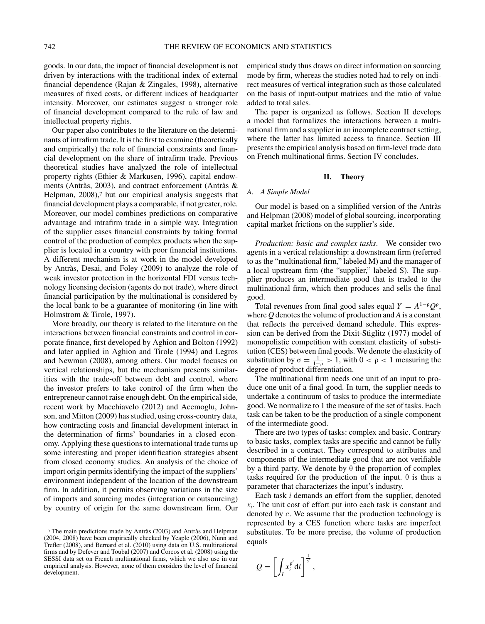goods. In our data, the impact of financial development is not driven by interactions with the traditional index of external financial dependence (Rajan & Zingales, 1998), alternative measures of fixed costs, or different indices of headquarter intensity. Moreover, our estimates suggest a stronger role of financial development compared to the rule of law and intellectual property rights.

Our paper also contributes to the literature on the determinants of intrafirm trade. It is the first to examine (theoretically and empirically) the role of financial constraints and financial development on the share of intrafirm trade. Previous theoretical studies have analyzed the role of intellectual property rights (Ethier & Markusen, 1996), capital endowments (Antràs, 2003), and contract enforcement (Antràs & Helpman, 2008),<sup>7</sup> but our empirical analysis suggests that financial development plays a comparable, if not greater, role. Moreover, our model combines predictions on comparative advantage and intrafirm trade in a simple way. Integration of the supplier eases financial constraints by taking formal control of the production of complex products when the supplier is located in a country with poor financial institutions. A different mechanism is at work in the model developed by Antràs, Desai, and Foley (2009) to analyze the role of weak investor protection in the horizontal FDI versus technology licensing decision (agents do not trade), where direct financial participation by the multinational is considered by the local bank to be a guarantee of monitoring (in line with Holmstrom & Tirole, 1997).

More broadly, our theory is related to the literature on the interactions between financial constraints and control in corporate finance, first developed by Aghion and Bolton (1992) and later applied in Aghion and Tirole (1994) and Legros and Newman (2008), among others. Our model focuses on vertical relationships, but the mechanism presents similarities with the trade-off between debt and control, where the investor prefers to take control of the firm when the entrepreneur cannot raise enough debt. On the empirical side, recent work by Macchiavelo (2012) and Acemoglu, Johnson, and Mitton (2009) has studied, using cross-country data, how contracting costs and financial development interact in the determination of firms' boundaries in a closed economy. Applying these questions to international trade turns up some interesting and proper identification strategies absent from closed economy studies. An analysis of the choice of import origin permits identifying the impact of the suppliers' environment independent of the location of the downstream firm. In addition, it permits observing variations in the size of imports and sourcing modes (integration or outsourcing) by country of origin for the same downstream firm. Our empirical study thus draws on direct information on sourcing mode by firm, whereas the studies noted had to rely on indirect measures of vertical integration such as those calculated on the basis of input-output matrices and the ratio of value added to total sales.

The paper is organized as follows. Section II develops a model that formalizes the interactions between a multinational firm and a supplier in an incomplete contract setting, where the latter has limited access to finance. Section III presents the empirical analysis based on firm-level trade data on French multinational firms. Section IV concludes.

#### **II. Theory**

## *A. A Simple Model*

Our model is based on a simplified version of the Antràs and Helpman (2008) model of global sourcing, incorporating capital market frictions on the supplier's side.

*Production: basic and complex tasks*. We consider two agents in a vertical relationship: a downstream firm (referred to as the "multinational firm," labeled M) and the manager of a local upstream firm (the "supplier," labeled S). The supplier produces an intermediate good that is traded to the multinational firm, which then produces and sells the final good.

Total revenues from final good sales equal  $Y = A^{1-\rho}Q^{\rho}$ , where *Q* denotes the volume of production and *A* is a constant that reflects the perceived demand schedule. This expression can be derived from the Dixit-Stiglitz (1977) model of monopolistic competition with constant elasticity of substitution (CES) between final goods. We denote the elasticity of substitution by  $\sigma = \frac{1}{1-\rho} > 1$ , with  $0 < \rho < 1$  measuring the degree of product differentiation.

The multinational firm needs one unit of an input to produce one unit of a final good. In turn, the supplier needs to undertake a continuum of tasks to produce the intermediate good. We normalize to 1 the measure of the set of tasks. Each task can be taken to be the production of a single component of the intermediate good.

There are two types of tasks: complex and basic. Contrary to basic tasks, complex tasks are specific and cannot be fully described in a contract. They correspond to attributes and components of the intermediate good that are not verifiable by a third party. We denote by  $\theta$  the proportion of complex tasks required for the production of the input.  $\theta$  is thus a parameter that characterizes the input's industry.

Each task *i* demands an effort from the supplier, denoted *xi*. The unit cost of effort put into each task is constant and denoted by *c*. We assume that the production technology is represented by a CES function where tasks are imperfect substitutes. To be more precise, the volume of production equals

$$
Q=\left[\int_I x_i^{\rho'}\mathrm{d}i\right]^{\frac{1}{\rho'}},
$$

<sup>7</sup> The main predictions made by Antràs (2003) and Antràs and Helpman (2004, 2008) have been empirically checked by Yeaple (2006), Nunn and Trefler (2008), and Bernard et al. (2010) using data on U.S. multinational firms and by Defever and Toubal (2007) and Corcos et al. (2008) using the SESSI data set on French multinational firms, which we also use in our empirical analysis. However, none of them considers the level of financial development.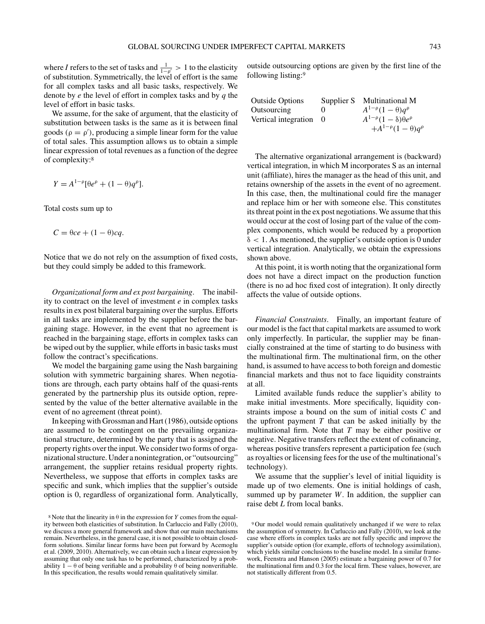where *I* refers to the set of tasks and  $\frac{1}{1-\rho'} > 1$  to the elasticity of substitution. Symmetrically, the level of effort is the same for all complex tasks and all basic tasks, respectively. We denote by *e* the level of effort in complex tasks and by *q* the level of effort in basic tasks.

We assume, for the sake of argument, that the elasticity of substitution between tasks is the same as it is between final goods  $(\rho = \rho')$ , producing a simple linear form for the value of total sales. This assumption allows us to obtain a simple linear expression of total revenues as a function of the degree of complexity:8

$$
Y = A^{1-\rho}[\theta e^{\rho} + (1-\theta)q^{\rho}].
$$

Total costs sum up to

$$
C = \theta ce + (1 - \theta)cq.
$$

Notice that we do not rely on the assumption of fixed costs, but they could simply be added to this framework.

*Organizational form and ex post bargaining*. The inability to contract on the level of investment *e* in complex tasks results in ex post bilateral bargaining over the surplus. Efforts in all tasks are implemented by the supplier before the bargaining stage. However, in the event that no agreement is reached in the bargaining stage, efforts in complex tasks can be wiped out by the supplier, while efforts in basic tasks must follow the contract's specifications.

We model the bargaining game using the Nash bargaining solution with symmetric bargaining shares. When negotiations are through, each party obtains half of the quasi-rents generated by the partnership plus its outside option, represented by the value of the better alternative available in the event of no agreement (threat point).

In keeping with Grossman and Hart (1986), outside options are assumed to be contingent on the prevailing organizational structure, determined by the party that is assigned the property rights over the input. We consider two forms of organizational structure. Under a nonintegration, or "outsourcing" arrangement, the supplier retains residual property rights. Nevertheless, we suppose that efforts in complex tasks are specific and sunk, which implies that the supplier's outside option is 0, regardless of organizational form. Analytically,

outside outsourcing options are given by the first line of the following listing:9

| <b>Outside Options</b> | Supplier S | Multinational M                       |
|------------------------|------------|---------------------------------------|
| Outsourcing            | 0          | $A^{1-\rho}(1-\theta)q^{\rho}$        |
| Vertical integration   | - ()       | $A^{1-\rho}(1-\delta)\theta e^{\rho}$ |
|                        |            | $+A^{1-\rho}(1-\theta)q^{\rho}$       |

The alternative organizational arrangement is (backward) vertical integration, in which M incorporates S as an internal unit (affiliate), hires the manager as the head of this unit, and retains ownership of the assets in the event of no agreement. In this case, then, the multinational could fire the manager and replace him or her with someone else. This constitutes its threat point in the ex post negotiations. We assume that this would occur at the cost of losing part of the value of the complex components, which would be reduced by a proportion δ *<* 1. As mentioned, the supplier's outside option is 0 under vertical integration. Analytically, we obtain the expressions shown above.

At this point, it is worth noting that the organizational form does not have a direct impact on the production function (there is no ad hoc fixed cost of integration). It only directly affects the value of outside options.

*Financial Constraints*. Finally, an important feature of our model is the fact that capital markets are assumed to work only imperfectly. In particular, the supplier may be financially constrained at the time of starting to do business with the multinational firm. The multinational firm, on the other hand, is assumed to have access to both foreign and domestic financial markets and thus not to face liquidity constraints at all.

Limited available funds reduce the supplier's ability to make initial investments. More specifically, liquidity constraints impose a bound on the sum of initial costs *C* and the upfront payment  $T$  that can be asked initially by the multinational firm. Note that *T* may be either positive or negative. Negative transfers reflect the extent of cofinancing, whereas positive transfers represent a participation fee (such as royalties or licensing fees for the use of the multinational's technology).

We assume that the supplier's level of initial liquidity is made up of two elements. One is initial holdings of cash, summed up by parameter *W*. In addition, the supplier can raise debt *L* from local banks.

<sup>&</sup>lt;sup>8</sup> Note that the linearity in  $\theta$  in the expression for *Y* comes from the equality between both elasticities of substitution. In Carluccio and Fally (2010), we discuss a more general framework and show that our main mechanisms remain. Nevertheless, in the general case, it is not possible to obtain closedform solutions. Similar linear forms have been put forward by Acemoglu et al. (2009, 2010). Alternatively, we can obtain such a linear expression by assuming that only one task has to be performed, characterized by a probability  $1 - \theta$  of being verifiable and a probability  $\theta$  of being nonverifiable. In this specification, the results would remain qualitatively similar.

<sup>9</sup> Our model would remain qualitatively unchanged if we were to relax the assumption of symmetry. In Carluccio and Fally (2010), we look at the case where efforts in complex tasks are not fully specific and improve the supplier's outside option (for example, efforts of technology assimilation), which yields similar conclusions to the baseline model. In a similar framework, Feenstra and Hanson (2005) estimate a bargaining power of 0.7 for the multinational firm and 0.3 for the local firm. These values, however, are not statistically different from 0.5.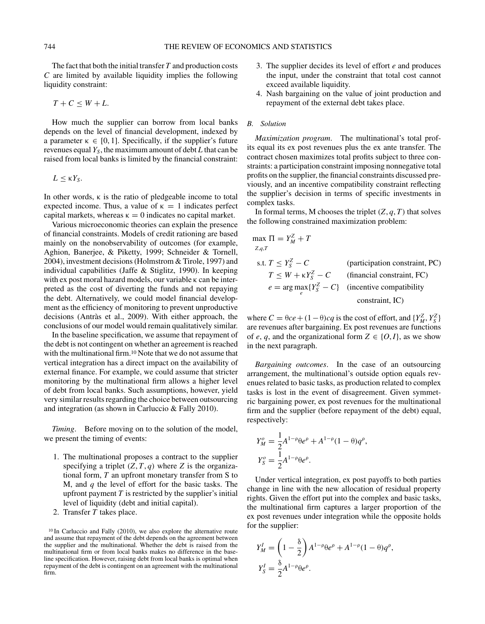The fact that both the initial transfer *T* and production costs *C* are limited by available liquidity implies the following liquidity constraint:

$$
T+C\leq W+L.
$$

How much the supplier can borrow from local banks depends on the level of financial development, indexed by a parameter  $\kappa \in [0, 1]$ . Specifically, if the supplier's future revenues equal *YS*, the maximum amount of debt *L* that can be raised from local banks is limited by the financial constraint:

*L*  $\leq$  κ*Y<sub>S</sub>*.

In other words,  $\kappa$  is the ratio of pledgeable income to total expected income. Thus, a value of  $\kappa = 1$  indicates perfect capital markets, whereas  $\kappa = 0$  indicates no capital market.

Various microeconomic theories can explain the presence of financial constraints. Models of credit rationing are based mainly on the nonobservability of outcomes (for example, Aghion, Banerjee, & Piketty, 1999; Schneider & Tornell, 2004), investment decisions (Holmstrom & Tirole, 1997) and individual capabilities (Jaffe & Stiglitz, 1990). In keeping with ex post moral hazard models, our variable κ can be interpreted as the cost of diverting the funds and not repaying the debt. Alternatively, we could model financial development as the efficiency of monitoring to prevent unproductive decisions (Antràs et al., 2009). With either approach, the conclusions of our model would remain qualitatively similar.

In the baseline specification, we assume that repayment of the debt is not contingent on whether an agreement is reached with the multinational firm.<sup>10</sup> Note that we do not assume that vertical integration has a direct impact on the availability of external finance. For example, we could assume that stricter monitoring by the multinational firm allows a higher level of debt from local banks. Such assumptions, however, yield very similar results regarding the choice between outsourcing and integration (as shown in Carluccio & Fally 2010).

*Timing*. Before moving on to the solution of the model, we present the timing of events:

- 1. The multinational proposes a contract to the supplier specifying a triplet  $(Z, T, q)$  where *Z* is the organizational form, *T* an upfront monetary transfer from S to M, and *q* the level of effort for the basic tasks. The upfront payment  $T$  is restricted by the supplier's initial level of liquidity (debt and initial capital).
- 2. Transfer *T* takes place.
- 3. The supplier decides its level of effort *e* and produces the input, under the constraint that total cost cannot exceed available liquidity.
- 4. Nash bargaining on the value of joint production and repayment of the external debt takes place.

# *B. Solution*

*Maximization program*. The multinational's total profits equal its ex post revenues plus the ex ante transfer. The contract chosen maximizes total profits subject to three constraints: a participation constraint imposing nonnegative total profits on the supplier, the financial constraints discussed previously, and an incentive compatibility constraint reflecting the supplier's decision in terms of specific investments in complex tasks.

In formal terms, M chooses the triplet  $(Z, q, T)$  that solves the following constrained maximization problem:

max 
$$
\Pi = Y_M^Z + T
$$
  
\nz,q.T  
\ns.t.  $T \le Y_S^Z - C$  (participation constraint, PC)  
\n $T \le W + \kappa Y_S^Z - C$  (financial constraint, FC)  
\n $e = \arg \max_e {Y_S^Z - C}$  (incentive compatibility  
\nconstraint, IC)

where  $C = \theta ce + (1 - \theta)cq$  is the cost of effort, and  $\{Y_M^Z, Y_S^Z\}$ are revenues after bargaining. Ex post revenues are functions of *e*, *q*, and the organizational form  $Z \in \{O, I\}$ , as we show in the next paragraph.

*Bargaining outcomes*. In the case of an outsourcing arrangement, the multinational's outside option equals revenues related to basic tasks, as production related to complex tasks is lost in the event of disagreement. Given symmetric bargaining power, ex post revenues for the multinational firm and the supplier (before repayment of the debt) equal, respectively:

$$
Y_M^o = \frac{1}{2} A^{1-\rho} \theta e^{\rho} + A^{1-\rho} (1-\theta) q^{\rho},
$$
  

$$
Y_S^o = \frac{1}{2} A^{1-\rho} \theta e^{\rho}.
$$

Under vertical integration, ex post payoffs to both parties change in line with the new allocation of residual property rights. Given the effort put into the complex and basic tasks, the multinational firm captures a larger proportion of the ex post revenues under integration while the opposite holds for the supplier:

$$
Y_M^I = \left(1 - \frac{\delta}{2}\right) A^{1-\rho} \theta e^{\rho} + A^{1-\rho} (1 - \theta) q^{\rho},
$$
  

$$
Y_S^I = \frac{\delta}{2} A^{1-\rho} \theta e^{\rho}.
$$

<sup>10</sup> In Carluccio and Fally (2010), we also explore the alternative route and assume that repayment of the debt depends on the agreement between the supplier and the multinational. Whether the debt is raised from the multinational firm or from local banks makes no difference in the baseline specification. However, raising debt from local banks is optimal when repayment of the debt is contingent on an agreement with the multinational firm.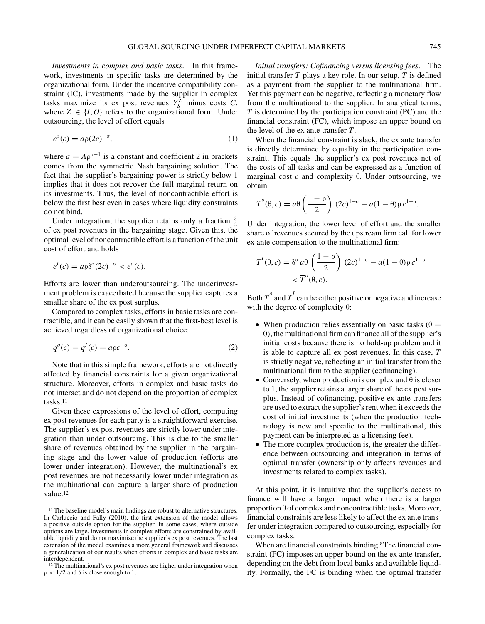*Investments in complex and basic tasks*. In this framework, investments in specific tasks are determined by the organizational form. Under the incentive compatibility constraint (IC), investments made by the supplier in complex tasks maximize its ex post revenues  $Y_S^Z$  minus costs  $C$ , where  $Z \in \{I, O\}$  refers to the organizational form. Under outsourcing, the level of effort equals

$$
e^o(c) = a\rho(2c)^{-\sigma},\tag{1}
$$

where  $a = A\rho^{\sigma-1}$  is a constant and coefficient 2 in brackets comes from the symmetric Nash bargaining solution. The fact that the supplier's bargaining power is strictly below 1 implies that it does not recover the full marginal return on its investments. Thus, the level of noncontractible effort is below the first best even in cases where liquidity constraints do not bind.

Under integration, the supplier retains only a fraction  $\frac{8}{2}$ of ex post revenues in the bargaining stage. Given this, the optimal level of noncontractible effort is a function of the unit cost of effort and holds

$$
e^I(c) = a\rho\delta^{\sigma}(2c)^{-\sigma} < e^{\sigma}(c).
$$

Efforts are lower than underoutsourcing. The underinvestment problem is exacerbated because the supplier captures a smaller share of the ex post surplus.

Compared to complex tasks, efforts in basic tasks are contractible, and it can be easily shown that the first-best level is achieved regardless of organizational choice:

$$
q^{o}(c) = q^{I}(c) = a\rho c^{-\sigma}.
$$
 (2)

Note that in this simple framework, efforts are not directly affected by financial constraints for a given organizational structure. Moreover, efforts in complex and basic tasks do not interact and do not depend on the proportion of complex tasks.11

Given these expressions of the level of effort, computing ex post revenues for each party is a straightforward exercise. The supplier's ex post revenues are strictly lower under integration than under outsourcing. This is due to the smaller share of revenues obtained by the supplier in the bargaining stage and the lower value of production (efforts are lower under integration). However, the multinational's ex post revenues are not necessarily lower under integration as the multinational can capture a larger share of production value.12

*Initial transfers: Cofinancing versus licensing fees*. The initial transfer *T* plays a key role. In our setup, *T* is defined as a payment from the supplier to the multinational firm. Yet this payment can be negative, reflecting a monetary flow from the multinational to the supplier. In analytical terms, *T* is determined by the participation constraint (PC) and the financial constraint (FC), which impose an upper bound on the level of the ex ante transfer *T*.

When the financial constraint is slack, the ex ante transfer is directly determined by equality in the participation constraint. This equals the supplier's ex post revenues net of the costs of all tasks and can be expressed as a function of marginal cost *c* and complexity θ. Under outsourcing, we obtain

$$
\overline{T}^{\circ}(\theta, c) = a\theta \left(\frac{1-\rho}{2}\right) (2c)^{1-\sigma} - a(1-\theta)\rho c^{1-\sigma}.
$$

Under integration, the lower level of effort and the smaller share of revenues secured by the upstream firm call for lower ex ante compensation to the multinational firm:

$$
\overline{T}^I(\theta, c) = \delta^{\sigma} a \theta \left( \frac{1 - \rho}{2} \right) (2c)^{1 - \sigma} - a(1 - \theta) \rho c^{1 - \sigma}
$$

$$
< \overline{T}^{\circ}(\theta, c).
$$

Both  $\overline{T}^o$  and  $\overline{T}^I$  can be either positive or negative and increase with the degree of complexity  $\theta$ :

- When production relies essentially on basic tasks  $(\theta =$ 0*)*, the multinational firm can finance all of the supplier's initial costs because there is no hold-up problem and it is able to capture all ex post revenues. In this case, *T* is strictly negative, reflecting an initial transfer from the multinational firm to the supplier (cofinancing).
- Conversely, when production is complex and  $\theta$  is closer to 1, the supplier retains a larger share of the ex post surplus. Instead of cofinancing, positive ex ante transfers are used to extract the supplier's rent when it exceeds the cost of initial investments (when the production technology is new and specific to the multinational, this payment can be interpreted as a licensing fee).
- The more complex production is, the greater the difference between outsourcing and integration in terms of optimal transfer (ownership only affects revenues and investments related to complex tasks).

At this point, it is intuitive that the supplier's access to finance will have a larger impact when there is a larger proportion θ of complex and noncontractible tasks. Moreover, financial constraints are less likely to affect the ex ante transfer under integration compared to outsourcing, especially for complex tasks.

When are financial constraints binding? The financial constraint (FC) imposes an upper bound on the ex ante transfer, depending on the debt from local banks and available liquidity. Formally, the FC is binding when the optimal transfer

<sup>&</sup>lt;sup>11</sup> The baseline model's main findings are robust to alternative structures. In Carluccio and Fally (2010), the first extension of the model allows a positive outside option for the supplier. In some cases, where outside options are large, investments in complex efforts are constrained by available liquidity and do not maximize the supplier's ex post revenues. The last extension of the model examines a more general framework and discusses a generalization of our results when efforts in complex and basic tasks are interdependent.

<sup>&</sup>lt;sup>12</sup> The multinational's ex post revenues are higher under integration when  $\rho < 1/2$  and  $\delta$  is close enough to 1.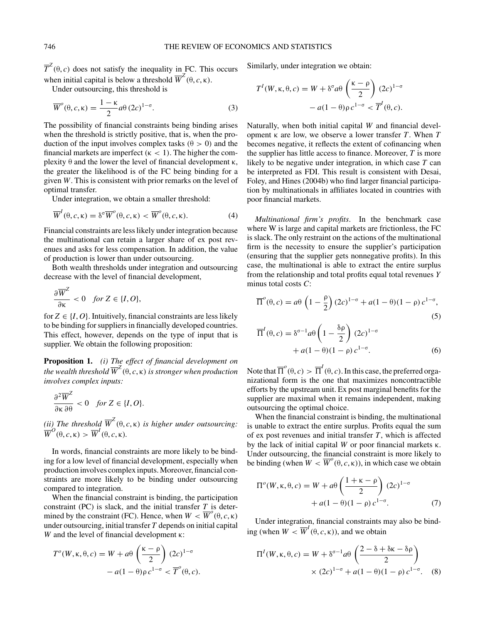$\overline{T}^{\mathcal{Z}}(\theta, c)$  does not satisfy the inequality in FC. This occurs when initial capital is below a threshold  $\overline{W}^Z(\theta, c, \kappa)$ .

Under outsourcing, this threshold is

$$
\overline{W}^o(\theta, c, \kappa) = \frac{1 - \kappa}{2} a\theta (2c)^{1 - \sigma}.
$$
 (3)

The possibility of financial constraints being binding arises when the threshold is strictly positive, that is, when the production of the input involves complex tasks  $(\theta > 0)$  and the financial markets are imperfect  $(k < 1)$ . The higher the complexity θ and the lower the level of financial development κ, the greater the likelihood is of the FC being binding for a given *W*. This is consistent with prior remarks on the level of optimal transfer.

Under integration, we obtain a smaller threshold:

$$
\overline{W}^I(\theta, c, \kappa) = \delta^{\sigma} \overline{W}^{\sigma}(\theta, c, \kappa) < \overline{W}^{\sigma}(\theta, c, \kappa). \tag{4}
$$

Financial constraints are less likely under integration because the multinational can retain a larger share of ex post revenues and asks for less compensation. In addition, the value of production is lower than under outsourcing.

Both wealth thresholds under integration and outsourcing decrease with the level of financial development,

$$
\frac{\partial \overline{W}^Z}{\partial \kappa} < 0 \quad \text{for } Z \in \{I, O\},
$$

for  $Z \in \{I, O\}$ . Intuitively, financial constraints are less likely to be binding for suppliers in financially developed countries. This effect, however, depends on the type of input that is supplier. We obtain the following proposition:

**Proposition 1.** *(i) The effect of financial development on the wealth threshold*  $\overline{W}^Z(\hat{\theta}, c, \kappa)$  *is stronger when production involves complex inputs:*

$$
\frac{\partial^2 \overline{W}^Z}{\partial \kappa \partial \theta} < 0 \quad \text{for } Z \in \{I, O\}.
$$

*(ii)* The threshold  $\overline{W}^Z$ (θ, c, κ) is higher under outsourcing:  $\overline{W}^O(\theta, c, \kappa) > \overline{W}^I(\theta, c, \kappa)$ *.* 

In words, financial constraints are more likely to be binding for a low level of financial development, especially when production involves complex inputs. Moreover, financial constraints are more likely to be binding under outsourcing compared to integration.

When the financial constraint is binding, the participation constraint (PC) is slack, and the initial transfer *T* is determined by the constraint (FC). Hence, when  $W < \overline{W}^o(\theta, c, \kappa)$ under outsourcing, initial transfer *T* depends on initial capital *W* and the level of financial development κ:

$$
T^o(W, \kappa, \theta, c) = W + a\theta \left(\frac{\kappa - \rho}{2}\right) (2c)^{1-\sigma} - a(1 - \theta) \rho c^{1-\sigma} < \overline{T}^o(\theta, c).
$$

Similarly, under integration we obtain:

$$
TI(W, \kappa, \theta, c) = W + \delta^{\sigma} a \theta \left(\frac{\kappa - \rho}{2}\right) (2c)^{1-\sigma} - a(1 - \theta) \rho c^{1-\sigma} < \overline{T}^{I}(\theta, c).
$$

Naturally, when both initial capital *W* and financial development κ are low, we observe a lower transfer *T*. When *T* becomes negative, it reflects the extent of cofinancing when the supplier has little access to finance. Moreover, *T* is more likely to be negative under integration, in which case *T* can be interpreted as FDI. This result is consistent with Desai, Foley, and Hines (2004b) who find larger financial participation by multinationals in affiliates located in countries with poor financial markets.

*Multinational firm's profits*. In the benchmark case where W is large and capital markets are frictionless, the FC is slack. The only restraint on the actions of the multinational firm is the necessity to ensure the supplier's participation (ensuring that the supplier gets nonnegative profits). In this case, the multinational is able to extract the entire surplus from the relationship and total profits equal total revenues *Y* minus total costs *C*:

$$
\overline{\Pi}^o(\theta, c) = a\theta \left(1 - \frac{\rho}{2}\right) (2c)^{1-\sigma} + a(1 - \theta)(1 - \rho) c^{1-\sigma},
$$
\n(5)

$$
\overline{\Pi}^{I}(\theta, c) = \delta^{\sigma - 1} a \theta \left( 1 - \frac{\delta \rho}{2} \right) (2c)^{1 - \sigma} + a(1 - \theta)(1 - \rho) c^{1 - \sigma}.
$$
 (6)

Note that  $\overline{\Pi}^o(\theta, c) > \overline{\Pi}^I(\theta, c)$ . In this case, the preferred organizational form is the one that maximizes noncontractible efforts by the upstream unit. Ex post marginal benefits for the supplier are maximal when it remains independent, making outsourcing the optimal choice.

When the financial constraint is binding, the multinational is unable to extract the entire surplus. Profits equal the sum of ex post revenues and initial transfer *T*, which is affected by the lack of initial capital *W* or poor financial markets κ. Under outsourcing, the financial constraint is more likely to be binding (when  $W < \overline{W}^o(\theta, c, \kappa)$ ), in which case we obtain

$$
\Pi^o(W, \kappa, \theta, c) = W + a\theta \left(\frac{1+\kappa-\rho}{2}\right) (2c)^{1-\sigma}
$$

$$
+ a(1-\theta)(1-\rho) c^{1-\sigma}.
$$
 (7)

Under integration, financial constraints may also be bind- $\lim_{\delta \to 0}$  (when  $W < \overline{W}'(\theta, c, \kappa)$ ), and we obtain

$$
\Pi^{I}(W, \kappa, \theta, c) = W + \delta^{\sigma - 1} a \theta \left( \frac{2 - \delta + \delta \kappa - \delta \rho}{2} \right) \times (2c)^{1 - \sigma} + a(1 - \theta)(1 - \rho) c^{1 - \sigma}.
$$
 (8)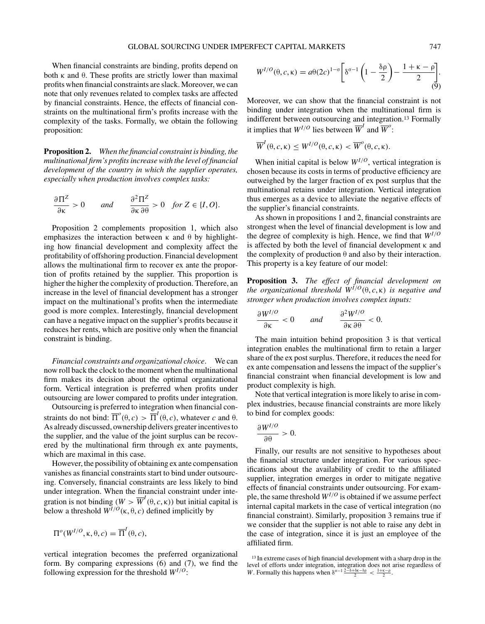When financial constraints are binding, profits depend on both κ and θ. These profits are strictly lower than maximal profits when financial constraints are slack. Moreover, we can note that only revenues related to complex tasks are affected by financial constraints. Hence, the effects of financial constraints on the multinational firm's profits increase with the complexity of the tasks. Formally, we obtain the following proposition:

**Proposition 2.** *When the financial constraint is binding, the multinational firm's profits increase with the level of financial development of the country in which the supplier operates, especially when production involves complex tasks:*

$$
\frac{\partial \Pi^Z}{\partial \kappa} > 0 \quad \text{and} \quad \frac{\partial^2 \Pi^Z}{\partial \kappa \partial \theta} > 0 \quad \text{for } Z \in \{I, O\}.
$$

Proposition 2 complements proposition 1, which also emphasizes the interaction between  $\kappa$  and  $\theta$  by highlighting how financial development and complexity affect the profitability of offshoring production. Financial development allows the multinational firm to recover ex ante the proportion of profits retained by the supplier. This proportion is higher the higher the complexity of production. Therefore, an increase in the level of financial development has a stronger impact on the multinational's profits when the intermediate good is more complex. Interestingly, financial development can have a negative impact on the supplier's profits because it reduces her rents, which are positive only when the financial constraint is binding.

*Financial constraints and organizational choice*. We can now roll back the clock to the moment when the multinational firm makes its decision about the optimal organizational form. Vertical integration is preferred when profits under outsourcing are lower compared to profits under integration.

Outsourcing is preferred to integration when financial constraints do not bind:  $\overline{\Pi}^o(\theta, c) > \overline{\overline{\Pi}}^I(\theta, c)$ , whatever *c* and  $\theta$ . As already discussed, ownership delivers greater incentives to the supplier, and the value of the joint surplus can be recovered by the multinational firm through ex ante payments, which are maximal in this case.

However, the possibility of obtaining ex ante compensation vanishes as financial constraints start to bind under outsourcing. Conversely, financial constraints are less likely to bind under integration. When the financial constraint under integration is not binding  $(W > \overline{W}^I(\theta, c, \kappa))$  but initial capital is below a threshold  $W^{I/O}$ (κ, θ, *c*) defined implicitly by

$$
\Pi^o(W^{I/O}, \kappa, \theta, c) = \overline{\Pi}^I(\theta, c),
$$

vertical integration becomes the preferred organizational form. By comparing expressions (6) and (7), we find the following expression for the threshold  $W^{I/O}$ :

$$
W^{1/O}(\theta, c, \kappa) = a\theta(2c)^{1-\sigma} \bigg[ \delta^{\sigma-1} \left( 1 - \frac{\delta \rho}{2} \right) - \frac{1+\kappa-\rho}{2} \bigg].
$$
\n(9)

Moreover, we can show that the financial constraint is not binding under integration when the multinational firm is indifferent between outsourcing and integration.13 Formally it implies that  $W^{I/O}$  lies between  $\overline{W}^I$  and  $\overline{W}^O$ :

$$
\overline{W}^I(\theta, c, \kappa) \leq W^{I/O}(\theta, c, \kappa) < \overline{W}^{\circ}(\theta, c, \kappa).
$$

When initial capital is below  $W^{I/O}$ , vertical integration is chosen because its costs in terms of productive efficiency are outweighed by the larger fraction of ex post surplus that the multinational retains under integration. Vertical integration thus emerges as a device to alleviate the negative effects of the supplier's financial constraints.

As shown in propositions 1 and 2, financial constraints are strongest when the level of financial development is low and the degree of complexity is high. Hence, we find that *W<sup>I</sup>/<sup>O</sup>* is affected by both the level of financial development κ and the complexity of production  $\theta$  and also by their interaction. This property is a key feature of our model:

**Proposition 3.** *The effect of financial development on the organizational threshold*  $W^{I/O}(\theta, c, \kappa)$  *is negative and stronger when production involves complex inputs:*

$$
\frac{\partial W^{1/O}}{\partial \kappa} < 0 \qquad \text{and} \qquad \frac{\partial^2 W^{1/O}}{\partial \kappa \partial \theta} < 0.
$$

The main intuition behind proposition 3 is that vertical integration enables the multinational firm to retain a larger share of the ex post surplus. Therefore, it reduces the need for ex ante compensation and lessens the impact of the supplier's financial constraint when financial development is low and product complexity is high.

Note that vertical integration is more likely to arise in complex industries, because financial constraints are more likely to bind for complex goods:

$$
\frac{\partial W^{I/O}}{\partial \theta} > 0.
$$

Finally, our results are not sensitive to hypotheses about the financial structure under integration. For various specifications about the availability of credit to the affiliated supplier, integration emerges in order to mitigate negative effects of financial constraints under outsourcing. For example, the same threshold *W<sup>I</sup>/<sup>O</sup>* is obtained if we assume perfect internal capital markets in the case of vertical integration (no financial constraint). Similarly, proposition 3 remains true if we consider that the supplier is not able to raise any debt in the case of integration, since it is just an employee of the affiliated firm.

<sup>13</sup> In extreme cases of high financial development with a sharp drop in the level of efforts under integration, integration does not arise regardless of *W*. Formally this happens when  $\delta^{\sigma-1} \frac{2-\delta+6\kappa-\delta\rho}{2} < \frac{1+\kappa-\rho}{2}$ .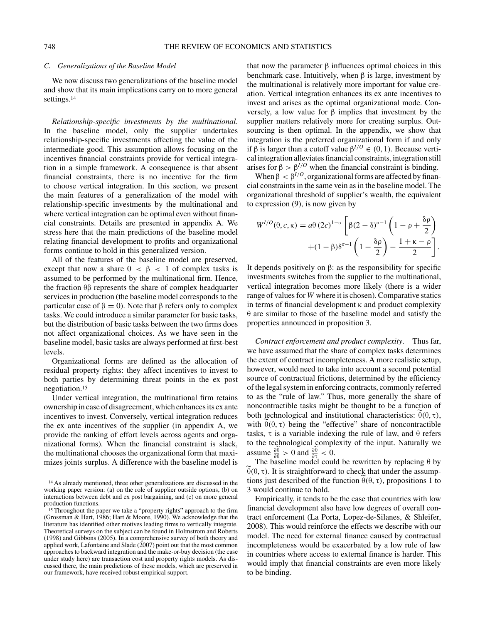# *C. Generalizations of the Baseline Model*

We now discuss two generalizations of the baseline model and show that its main implications carry on to more general settings.<sup>14</sup>

*Relationship-specific investments by the multinational*. In the baseline model, only the supplier undertakes relationship-specific investments affecting the value of the intermediate good. This assumption allows focusing on the incentives financial constraints provide for vertical integration in a simple framework. A consequence is that absent financial constraints, there is no incentive for the firm to choose vertical integration. In this section, we present the main features of a generalization of the model with relationship-specific investments by the multinational and where vertical integration can be optimal even without financial constraints. Details are presented in appendix A. We stress here that the main predictions of the baseline model relating financial development to profits and organizational forms continue to hold in this generalized version.

All of the features of the baseline model are preserved, except that now a share  $0 < \beta < 1$  of complex tasks is assumed to be performed by the multinational firm. Hence, the fraction θβ represents the share of complex headquarter services in production (the baseline model corresponds to the particular case of  $\beta = 0$ ). Note that  $\beta$  refers only to complex tasks. We could introduce a similar parameter for basic tasks, but the distribution of basic tasks between the two firms does not affect organizational choices. As we have seen in the baseline model, basic tasks are always performed at first-best levels.

Organizational forms are defined as the allocation of residual property rights: they affect incentives to invest to both parties by determining threat points in the ex post negotiation.15

Under vertical integration, the multinational firm retains ownership in case of disagreement, which enhances its ex ante incentives to invest. Conversely, vertical integration reduces the ex ante incentives of the supplier (in appendix A, we provide the ranking of effort levels across agents and organizational forms). When the financial constraint is slack, the multinational chooses the organizational form that maximizes joints surplus. A difference with the baseline model is

that now the parameter β influences optimal choices in this benchmark case. Intuitively, when  $\beta$  is large, investment by the multinational is relatively more important for value creation. Vertical integration enhances its ex ante incentives to invest and arises as the optimal organizational mode. Conversely, a low value for β implies that investment by the supplier matters relatively more for creating surplus. Outsourcing is then optimal. In the appendix, we show that integration is the preferred organizational form if and only if β is larger than a cutoff value β*<sup>I</sup>/<sup>O</sup>* ∈ *(*0, 1*)*. Because vertical integration alleviates financial constraints, integration still arises for  $β > β<sup>I/O</sup>$  when the financial constraint is binding.

When  $\beta < \beta^{I/O}$ , organizational forms are affected by financial constraints in the same vein as in the baseline model. The organizational threshold of supplier's wealth, the equivalent to expression (9), is now given by

$$
W^{1/O}(\theta, c, \kappa) = a\theta (2c)^{1-\sigma} \left[ \beta (2-\delta)^{\sigma-1} \left( 1 - \rho + \frac{\delta \rho}{2} \right) + (1-\beta)\delta^{\sigma-1} \left( 1 - \frac{\delta \rho}{2} \right) - \frac{1+\kappa-\rho}{2} \right].
$$

It depends positively on  $\beta$ : as the responsibility for specific investments switches from the supplier to the multinational, vertical integration becomes more likely (there is a wider range of values for *W* where it is chosen). Comparative statics in terms of financial development κ and product complexity  $\theta$  are similar to those of the baseline model and satisfy the properties announced in proposition 3.

*Contract enforcement and product complexity*. Thus far, we have assumed that the share of complex tasks determines the extent of contract incompleteness. A more realistic setup, however, would need to take into account a second potential source of contractual frictions, determined by the efficiency of the legal system in enforcing contracts, commonly referred to as the "rule of law." Thus, more generally the share of noncontractible tasks might be thought to be a function of both technological and institutional characteristics:  $θ(θ, τ)$ , with  $\theta(\theta, \tau)$  being the "effective" share of noncontractible tasks, τ is a variable indexing the rule of law, and θ refers to the technological complexity of the input. Naturally we  $\frac{\partial \theta}{\partial \theta} > 0$  and  $\frac{\partial \theta}{\partial \tau} < 0$ .

The baseline model could be rewritten by replacing  $\theta$  by θ*(*θ, τ*)*. It is straightforward to check that under the assumptions just described of the function  $\theta(\theta, \tau)$ , propositions 1 to 3 would continue to hold.

Empirically, it tends to be the case that countries with low financial development also have low degrees of overall contract enforcement (La Porta, Lopez-de-Silanes, & Shleifer, 2008). This would reinforce the effects we describe with our model. The need for external finance caused by contractual incompleteness would be exacerbated by a low rule of law in countries where access to external finance is harder. This would imply that financial constraints are even more likely to be binding.

<sup>14</sup> As already mentioned, three other generalizations are discussed in the working paper version: (a) on the role of supplier outside options, (b) on interactions between debt and ex post bargaining, and (c) on more general production functions.

<sup>&</sup>lt;sup>15</sup> Throughout the paper we take a "property rights" approach to the firm (Grossman & Hart, 1986; Hart & Moore, 1990). We acknowledge that the literature has identified other motives leading firms to vertically integrate. Theoretical surveys on the subject can be found in Holmstrom and Roberts (1998) and Gibbons (2005). In a comprehensive survey of both theory and applied work, Lafontaine and Slade (2007) point out that the most common approaches to backward integration and the make-or-buy decision (the case under study here) are transaction cost and property rights models. As discussed there, the main predictions of these models, which are preserved in our framework, have received robust empirical support.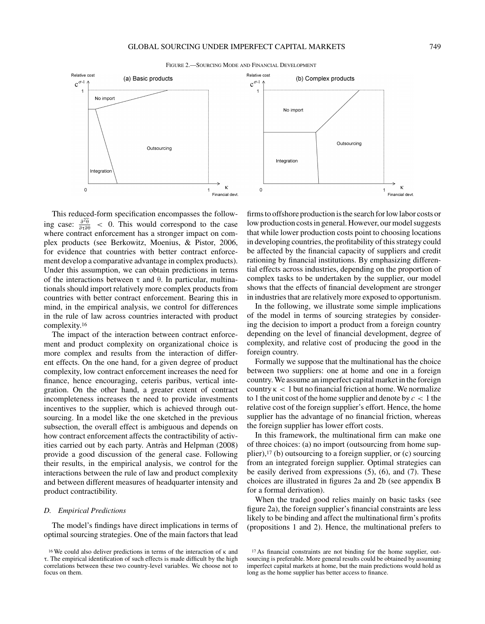Figure 2.—Sourcing Mode and Financial Development



This reduced-form specification encompasses the following case:  $\frac{\partial^2 \widetilde{\theta}}{\partial \tau \partial \theta}$ *<sup>∂</sup>*τ*∂*<sup>θ</sup> *<* 0. This would correspond to the case where contract enforcement has a stronger impact on complex products (see Berkowitz, Moenius, & Pistor, 2006, for evidence that countries with better contract enforcement develop a comparative advantage in complex products). Under this assumption, we can obtain predictions in terms of the interactions between τ and θ. In particular, multinationals should import relatively more complex products from countries with better contract enforcement. Bearing this in mind, in the empirical analysis, we control for differences in the rule of law across countries interacted with product complexity.16

The impact of the interaction between contract enforcement and product complexity on organizational choice is more complex and results from the interaction of different effects. On the one hand, for a given degree of product complexity, low contract enforcement increases the need for finance, hence encouraging, ceteris paribus, vertical integration. On the other hand, a greater extent of contract incompleteness increases the need to provide investments incentives to the supplier, which is achieved through outsourcing. In a model like the one sketched in the previous subsection, the overall effect is ambiguous and depends on how contract enforcement affects the contractibility of activities carried out by each party. Antràs and Helpman (2008) provide a good discussion of the general case. Following their results, in the empirical analysis, we control for the interactions between the rule of law and product complexity and between different measures of headquarter intensity and product contractibility.

#### *D. Empirical Predictions*

The model's findings have direct implications in terms of optimal sourcing strategies. One of the main factors that lead



firms to offshore production is the search for low labor costs or low production costs in general. However, our model suggests that while lower production costs point to choosing locations in developing countries, the profitability of this strategy could be affected by the financial capacity of suppliers and credit rationing by financial institutions. By emphasizing differential effects across industries, depending on the proportion of complex tasks to be undertaken by the supplier, our model shows that the effects of financial development are stronger in industries that are relatively more exposed to opportunism.

In the following, we illustrate some simple implications of the model in terms of sourcing strategies by considering the decision to import a product from a foreign country depending on the level of financial development, degree of complexity, and relative cost of producing the good in the foreign country.

Formally we suppose that the multinational has the choice between two suppliers: one at home and one in a foreign country. We assume an imperfect capital market in the foreign country κ *<* 1 but no financial friction at home. We normalize to 1 the unit cost of the home supplier and denote by  $c < 1$  the relative cost of the foreign supplier's effort. Hence, the home supplier has the advantage of no financial friction, whereas the foreign supplier has lower effort costs.

In this framework, the multinational firm can make one of three choices: (a) no import (outsourcing from home supplier),<sup>17</sup> (b) outsourcing to a foreign supplier, or (c) sourcing from an integrated foreign supplier. Optimal strategies can be easily derived from expressions (5), (6), and (7). These choices are illustrated in figures 2a and 2b (see appendix B for a formal derivation).

When the traded good relies mainly on basic tasks (see figure 2a), the foreign supplier's financial constraints are less likely to be binding and affect the multinational firm's profits (propositions 1 and 2). Hence, the multinational prefers to

<sup>16</sup> We could also deliver predictions in terms of the interaction of κ and τ. The empirical identification of such effects is made difficult by the high correlations between these two country-level variables. We choose not to focus on them.

<sup>17</sup> As financial constraints are not binding for the home supplier, outsourcing is preferable. More general results could be obtained by assuming imperfect capital markets at home, but the main predictions would hold as long as the home supplier has better access to finance.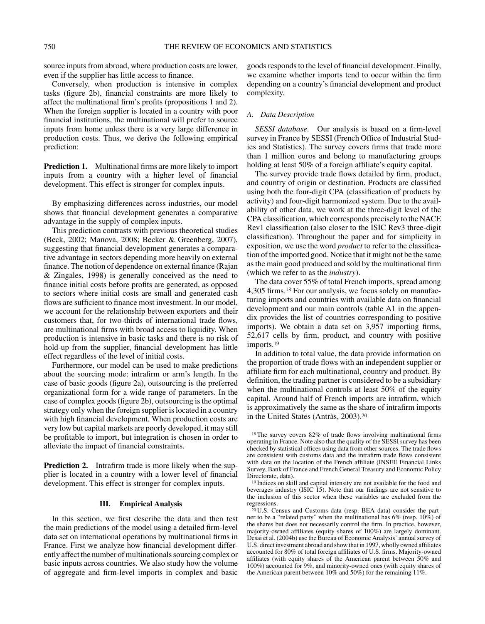source inputs from abroad, where production costs are lower, even if the supplier has little access to finance.

Conversely, when production is intensive in complex tasks (figure 2b), financial constraints are more likely to affect the multinational firm's profits (propositions 1 and 2). When the foreign supplier is located in a country with poor financial institutions, the multinational will prefer to source inputs from home unless there is a very large difference in production costs. Thus, we derive the following empirical prediction:

**Prediction 1.** Multinational firms are more likely to import inputs from a country with a higher level of financial development. This effect is stronger for complex inputs.

By emphasizing differences across industries, our model shows that financial development generates a comparative advantage in the supply of complex inputs.

This prediction contrasts with previous theoretical studies (Beck, 2002; Manova, 2008; Becker & Greenberg, 2007), suggesting that financial development generates a comparative advantage in sectors depending more heavily on external finance. The notion of dependence on external finance (Rajan & Zingales, 1998) is generally conceived as the need to finance initial costs before profits are generated, as opposed to sectors where initial costs are small and generated cash flows are sufficient to finance most investment. In our model, we account for the relationship between exporters and their customers that, for two-thirds of international trade flows, are multinational firms with broad access to liquidity. When production is intensive in basic tasks and there is no risk of hold-up from the supplier, financial development has little effect regardless of the level of initial costs.

Furthermore, our model can be used to make predictions about the sourcing mode: intrafirm or arm's length. In the case of basic goods (figure 2a), outsourcing is the preferred organizational form for a wide range of parameters. In the case of complex goods (figure 2b), outsourcing is the optimal strategy only when the foreign supplier is located in a country with high financial development. When production costs are very low but capital markets are poorly developed, it may still be profitable to import, but integration is chosen in order to alleviate the impact of financial constraints.

**Prediction 2.** Intrafirm trade is more likely when the supplier is located in a country with a lower level of financial development. This effect is stronger for complex inputs.

# **III. Empirical Analysis**

In this section, we first describe the data and then test the main predictions of the model using a detailed firm-level data set on international operations by multinational firms in France. First we analyze how financial development differently affect the number of multinationals sourcing complex or basic inputs across countries. We also study how the volume of aggregate and firm-level imports in complex and basic

goods responds to the level of financial development. Finally, we examine whether imports tend to occur within the firm depending on a country's financial development and product complexity.

# *A. Data Description*

*SESSI database*. Our analysis is based on a firm-level survey in France by SESSI (French Office of Industrial Studies and Statistics). The survey covers firms that trade more than 1 million euros and belong to manufacturing groups holding at least 50% of a foreign affiliate's equity capital.

The survey provide trade flows detailed by firm, product, and country of origin or destination. Products are classified using both the four-digit CPA (classification of products by activity) and four-digit harmonized system. Due to the availability of other data, we work at the three-digit level of the CPA classification, which corresponds precisely to the NACE Rev1 classification (also closer to the ISIC Rev3 three-digit classification). Throughout the paper and for simplicity in exposition, we use the word *product* to refer to the classification of the imported good. Notice that it might not be the same as the main good produced and sold by the multinational firm (which we refer to as the *industry*).

The data cover 55% of total French imports, spread among 4,305 firms.18 For our analysis, we focus solely on manufacturing imports and countries with available data on financial development and our main controls (table A1 in the appendix provides the list of countries corresponding to positive imports). We obtain a data set on 3,957 importing firms, 52,617 cells by firm, product, and country with positive imports.19

In addition to total value, the data provide information on the proportion of trade flows with an independent supplier or affiliate firm for each multinational, country and product. By definition, the trading partner is considered to be a subsidiary when the multinational controls at least 50% of the equity capital. Around half of French imports are intrafirm, which is approximatively the same as the share of intrafirm imports in the United States (Antràs, 2003).20

<sup>18</sup> The survey covers 82% of trade flows involving multinational firms operating in France. Note also that the quality of the SESSI survey has been checked by statistical offices using data from other sources. The trade flows are consistent with customs data and the intrafirm trade flows consistent with data on the location of the French affiliate (INSEE Financial Links Survey, Bank of France and French General Treasury and Economic Policy Directorate, data).

<sup>19</sup> Indices on skill and capital intensity are not available for the food and beverages industry (ISIC 15). Note that our findings are not sensitive to the inclusion of this sector when these variables are excluded from the regressions.

<sup>20</sup> U.S. Census and Customs data (resp. BEA data) consider the partner to be a "related party" when the multinational has 6% (resp. 10%) of the shares but does not necessarily control the firm. In practice, however, majority-owned affiliates (equity shares of 100%) are largely dominant. Desai et al. (2004b) use the Bureau of Economic Analysis' annual survey of U.S. direct investment abroad and show that in 1997, wholly owned affiliates accounted for 80% of total foreign affiliates of U.S. firms. Majority-owned affiliates (with equity shares of the American parent between 50% and 100%) accounted for 9%, and minority-owned ones (with equity shares of the American parent between 10% and 50%) for the remaining 11%.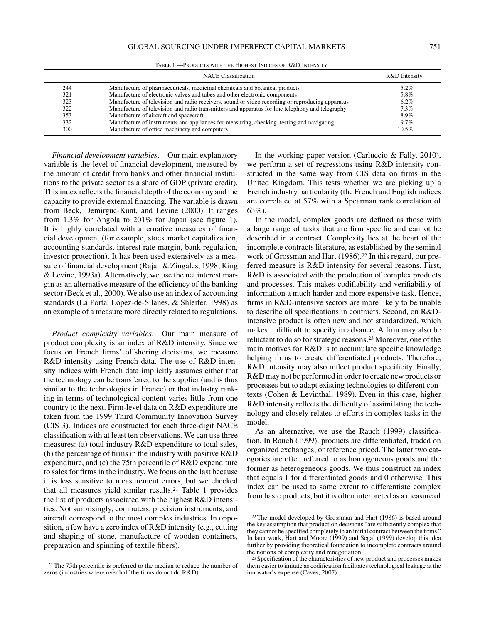Table 1.—Products with the Highest Indices of R&D Intensity

|     | <b>NACE Classification</b>                                                                       | R&D Intensity |
|-----|--------------------------------------------------------------------------------------------------|---------------|
| 244 | Manufacture of pharmaceuticals, medicinal chemicals and botanical products                       | $5.2\%$       |
| 321 | Manufacture of electronic valves and tubes and other electronic components                       | 5.8%          |
| 323 | Manufacture of television and radio receivers, sound or video recording or reproducing apparatus | $6.2\%$       |
| 322 | Manufacture of television and radio transmitters and apparatus for line telephony and telegraphy | $7.3\%$       |
| 353 | Manufacture of aircraft and spacecraft                                                           | 8.9%          |
| 332 | Manufacture of instruments and appliances for measuring, checking, testing and navigating        | $9.7\%$       |
| 300 | Manufacture of office machinery and computers                                                    | $10.5\%$      |

*Financial development variables*. Our main explanatory variable is the level of financial development, measured by the amount of credit from banks and other financial institutions to the private sector as a share of GDP (private credit). This index reflects the financial depth of the economy and the capacity to provide external financing. The variable is drawn from Beck, Demirguc-Kunt, and Levine (2000). It ranges from 1.3% for Angola to 201% for Japan (see figure 1). It is highly correlated with alternative measures of financial development (for example, stock market capitalization, accounting standards, interest rate margin, bank regulation, investor protection). It has been used extensively as a measure of financial development (Rajan & Zingales, 1998; King & Levine, 1993a). Alternatively, we use the net interest margin as an alternative measure of the efficiency of the banking sector (Beck et al., 2000). We also use an index of accounting standards (La Porta, Lopez-de-Silanes, & Shleifer, 1998) as an example of a measure more directly related to regulations.

*Product complexity variables*. Our main measure of product complexity is an index of R&D intensity. Since we focus on French firms' offshoring decisions, we measure R&D intensity using French data. The use of R&D intensity indices with French data implicitly assumes either that the technology can be transferred to the supplier (and is thus similar to the technologies in France) or that industry ranking in terms of technological content varies little from one country to the next. Firm-level data on R&D expenditure are taken from the 1999 Third Community Innovation Survey (CIS 3). Indices are constructed for each three-digit NACE classification with at least ten observations. We can use three measures: (a) total industry R&D expenditure to total sales, (b) the percentage of firms in the industry with positive R&D expenditure, and (c) the 75th percentile of R&D expenditure to sales for firms in the industry. We focus on the last because it is less sensitive to measurement errors, but we checked that all measures yield similar results.21 Table 1 provides the list of products associated with the highest R&D intensities. Not surprisingly, computers, precision instruments, and aircraft correspond to the most complex industries. In opposition, a few have a zero index of R&D intensity (e.g., cutting and shaping of stone, manufacture of wooden containers, preparation and spinning of textile fibers).

In the working paper version (Carluccio & Fally, 2010), we perform a set of regressions using R&D intensity constructed in the same way from CIS data on firms in the United Kingdom. This tests whether we are picking up a French industry particularity (the French and English indices are correlated at 57% with a Spearman rank correlation of 63%).

In the model, complex goods are defined as those with a large range of tasks that are firm specific and cannot be described in a contract. Complexity lies at the heart of the incomplete contracts literature, as established by the seminal work of Grossman and Hart (1986).<sup>22</sup> In this regard, our preferred measure is R&D intensity for several reasons. First, R&D is associated with the production of complex products and processes. This makes codifiability and verifiability of information a much harder and more expensive task. Hence, firms in R&D-intensive sectors are more likely to be unable to describe all specifications in contracts. Second, on R&Dintensive product is often new and not standardized, which makes it difficult to specify in advance. A firm may also be reluctant to do so for strategic reasons.23 Moreover, one of the main motives for R&D is to accumulate specific knowledge helping firms to create differentiated products. Therefore, R&D intensity may also reflect product specificity. Finally, R&D may not be performed in order to create new products or processes but to adapt existing technologies to different contexts (Cohen & Levinthal, 1989). Even in this case, higher R&D intensity reflects the difficulty of assimilating the technology and closely relates to efforts in complex tasks in the model.

As an alternative, we use the Rauch (1999) classification. In Rauch (1999), products are differentiated, traded on organized exchanges, or reference priced. The latter two categories are often referred to as homogeneous goods and the former as heterogeneous goods. We thus construct an index that equals 1 for differentiated goods and 0 otherwise. This index can be used to some extent to differentiate complex from basic products, but it is often interpreted as a measure of

<sup>21</sup> The 75th percentile is preferred to the median to reduce the number of zeros (industries where over half the firms do not do R&D).

<sup>22</sup> The model developed by Grossman and Hart (1986) is based around the key assumption that production decisions "are sufficiently complex that they cannot be specified completely in an initial contract between the firms." In later work, Hart and Moore (1999) and Segal (1999) develop this idea further by providing theoretical foundation to incomplete contracts around the notions of complexity and renegotiation.

<sup>23</sup> Specification of the characteristics of new product and processes makes them easier to imitate as codification facilitates technological leakage at the innovator's expense (Caves, 2007).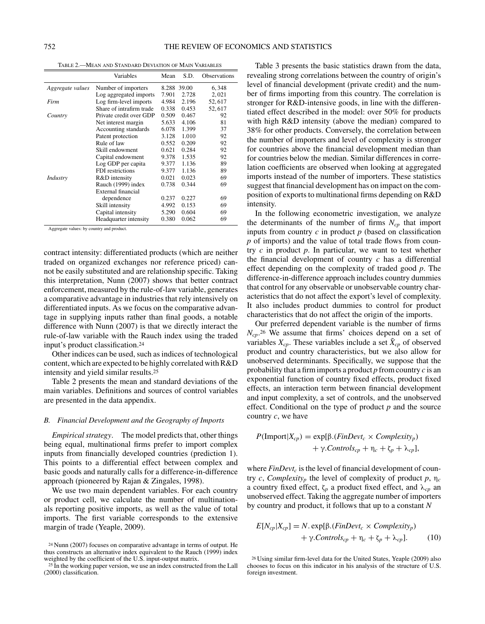Table 2.—Mean and Standard Deviation of Main Variables

|                  | Variables                | Mean        | S.D.  | <b>Observations</b> |
|------------------|--------------------------|-------------|-------|---------------------|
| Aggregate values | Number of importers      | 8.288 39.00 |       | 6,348               |
|                  | Log aggregated imports   | 7.901       | 2.728 | 2,021               |
| Firm             | Log firm-level imports   | 4.984       | 2.196 | 52,617              |
|                  | Share of intrafirm trade | 0.338       | 0.453 | 52,617              |
| Country          | Private credit over GDP  | 0.509       | 0.467 | 92                  |
|                  | Net interest margin      | 5.633       | 4.106 | 81                  |
|                  | Accounting standards     | 6.078       | 1.399 | 37                  |
|                  | Patent protection        | 3.128       | 1.010 | 92                  |
|                  | Rule of law              | 0.552       | 0.209 | 92                  |
|                  | Skill endowment          | 0.621       | 0.284 | 92                  |
|                  | Capital endowment        | 9.378       | 1.535 | 92                  |
|                  | Log GDP per capita       | 9.377       | 1.136 | 89                  |
|                  | FDI restrictions         | 9.377       | 1.136 | 89                  |
| Industry         | R&D intensity            | 0.021       | 0.023 | 69                  |
|                  | Rauch (1999) index       | 0.738       | 0.344 | 69                  |
|                  | External financial       |             |       |                     |
|                  | dependence               | 0.237       | 0.227 | 69                  |
|                  | Skill intensity          | 4.992       | 0.153 | 69                  |
|                  | Capital intensity        | 5.290       | 0.604 | 69                  |
|                  | Headquarter intensity    | 0.380       | 0.062 | 69                  |

Aggregate values: by country and product.

contract intensity: differentiated products (which are neither traded on organized exchanges nor reference priced) cannot be easily substituted and are relationship specific. Taking this interpretation, Nunn (2007) shows that better contract enforcement, measured by the rule-of-law variable, generates a comparative advantage in industries that rely intensively on differentiated inputs. As we focus on the comparative advantage in supplying inputs rather than final goods, a notable difference with Nunn (2007) is that we directly interact the rule-of-law variable with the Rauch index using the traded input's product classification.24

Other indices can be used, such as indices of technological content, which are expected to be highly correlated with R&D intensity and yield similar results.25

Table 2 presents the mean and standard deviations of the main variables. Definitions and sources of control variables are presented in the data appendix.

# *B. Financial Development and the Geography of Imports*

*Empirical strategy*. The model predicts that, other things being equal, multinational firms prefer to import complex inputs from financially developed countries (prediction 1). This points to a differential effect between complex and basic goods and naturally calls for a difference-in-difference approach (pioneered by Rajan & Zingales, 1998).

We use two main dependent variables. For each country or product cell, we calculate the number of multinationals reporting positive imports, as well as the value of total imports. The first variable corresponds to the extensive margin of trade (Yeaple, 2009).

Table 3 presents the basic statistics drawn from the data, revealing strong correlations between the country of origin's level of financial development (private credit) and the number of firms importing from this country. The correlation is stronger for R&D-intensive goods, in line with the differentiated effect described in the model: over 50% for products with high R&D intensity (above the median) compared to 38% for other products. Conversely, the correlation between the number of importers and level of complexity is stronger for countries above the financial development median than for countries below the median. Similar differences in correlation coefficients are observed when looking at aggregated imports instead of the number of importers. These statistics suggest that financial development has on impact on the composition of exports to multinational firms depending on R&D intensity.

In the following econometric investigation, we analyze the determinants of the number of firms  $N_{cp}$  that import inputs from country *c* in product *p* (based on classification *p* of imports) and the value of total trade flows from country *c* in product *p*. In particular, we want to test whether the financial development of country *c* has a differential effect depending on the complexity of traded good *p*. The difference-in-difference approach includes country dummies that control for any observable or unobservable country characteristics that do not affect the export's level of complexity. It also includes product dummies to control for product characteristics that do not affect the origin of the imports.

Our preferred dependent variable is the number of firms *Ncp*.26 We assume that firms' choices depend on a set of variables  $X_{cp}$ . These variables include a set  $\tilde{X}_{cp}$  of observed product and country characteristics, but we also allow for unobserved determinants. Specifically, we suppose that the probability that a firm imports a product *p* from country *c* is an exponential function of country fixed effects, product fixed effects, an interaction term between financial development and input complexity, a set of controls, and the unobserved effect. Conditional on the type of product *p* and the source country *c*, we have

$$
P(\text{Import}|X_{cp}) = \exp[\beta \cdot (\text{FinDev}_c \times \text{Complexity}_p) + \gamma \cdot \text{Controls}_{cp} + \eta_c + \zeta_p + \lambda_{cp}],
$$

where  $FinDev_t$  is the level of financial development of country *c*, *Complexity<sub>p</sub>* the level of complexity of product  $p$ ,  $\eta_c$ a country fixed effect, ζ*<sup>p</sup>* a product fixed effect, and λ*cp* an unobserved effect. Taking the aggregate number of importers by country and product, it follows that up to a constant *N*

$$
E[N_{cp}|X_{cp}] = N.\exp[\beta.(FinDevt_c \times Complexity_p) + \gamma.Controls_{cp} + \eta_c + \zeta_p + \lambda_{cp}].
$$
 (10)

<sup>26</sup> Using similar firm-level data for the United States, Yeaple (2009) also chooses to focus on this indicator in his analysis of the structure of U.S. foreign investment.

<sup>24</sup> Nunn (2007) focuses on comparative advantage in terms of output. He thus constructs an alternative index equivalent to the Rauch (1999) index weighted by the coefficient of the U.S. input-output matrix.

<sup>&</sup>lt;sup>25</sup> In the working paper version, we use an index constructed from the Lall (2000) classification.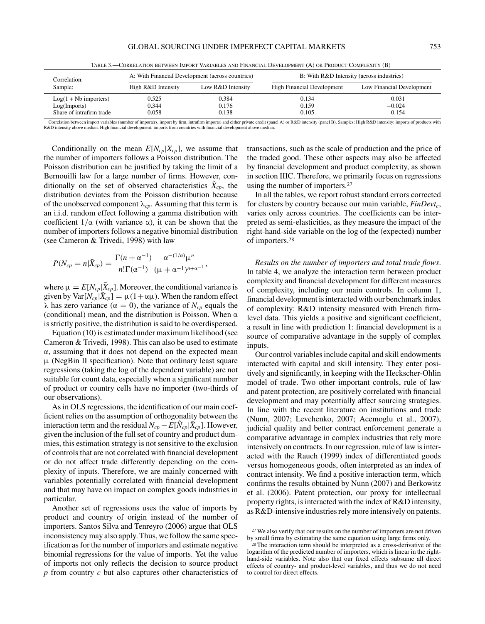| Correlation:                                                        |                         | A: With Financial Development (across countries) | B: With R&D Intensity (across industries) |                            |  |
|---------------------------------------------------------------------|-------------------------|--------------------------------------------------|-------------------------------------------|----------------------------|--|
| Sample:                                                             | High R&D Intensity      | Low R&D Intensity                                | <b>High Financial Development</b>         | Low Financial Development  |  |
| $Log(1 + Nb$ importers)<br>Log(Imports)<br>Share of intrafirm trade | 0.525<br>0.344<br>0.058 | 0.384<br>0.176<br>0.138                          | 0.134<br>0.159<br>0.105                   | 0.031<br>$-0.024$<br>0.154 |  |

Table 3.—Correlation between Import Variables and Financial Development (A) or Product Complexity (B)

Correlation between import variables (number of importers, import by firm, intrafirm imports) and either private credit (panel A) or R&D intensity (panel B). Samples: High R&D intensity: imports of products with R&D intensity above median. High financial development: imports from countries with financial development above median.

Conditionally on the mean  $E[N_{cp}|X_{cp}]$ , we assume that the number of importers follows a Poisson distribution. The Poisson distribution can be justified by taking the limit of a Bernouilli law for a large number of firms. However, conditionally on the set of observed characteristics  $\tilde{X}_{cp}$ , the distribution deviates from the Poisson distribution because of the unobserved component λ*cp*. Assuming that this term is an i.i.d. random effect following a gamma distribution with coefficient  $1/\alpha$  (with variance  $\alpha$ ), it can be shown that the number of importers follows a negative binomial distribution (see Cameron & Trivedi, 1998) with law

$$
P(N_{cp} = n|\tilde{X}_{cp}) = \frac{\Gamma(n + \alpha^{-1})}{n!\Gamma(\alpha^{-1})} \frac{\alpha^{-(1/\alpha)}\mu^n}{(\mu + \alpha^{-1})^{n+\alpha^{-1}}},
$$

where  $\mu = E[N_{cp}|\tilde{X}_{cp}]$ . Moreover, the conditional variance is given by Var $[N_{cp}|\tilde{X}_{cp}] = \mu(1+\alpha\mu)$ . When the random effect  $λ$  has zero variance ( $α = 0$ ), the variance of  $N_{cp}$  equals the (conditional) mean, and the distribution is Poisson. When  $\alpha$ is strictly positive, the distribution is said to be overdispersed.

Equation (10) is estimated under maximum likelihood (see Cameron & Trivedi, 1998). This can also be used to estimate α, assuming that it does not depend on the expected mean  $\mu$  (NegBin II specification). Note that ordinary least square regressions (taking the log of the dependent variable) are not suitable for count data, especially when a significant number of product or country cells have no importer (two-thirds of our observations).

As in OLS regressions, the identification of our main coefficient relies on the assumption of orthogonality between the interaction term and the residual  $N_{cp} - E[\hat{N}_{cp}|\tilde{X}_{cp}]$ . However, given the inclusion of the full set of country and product dummies, this estimation strategy is not sensitive to the exclusion of controls that are not correlated with financial development or do not affect trade differently depending on the complexity of inputs. Therefore, we are mainly concerned with variables potentially correlated with financial development and that may have on impact on complex goods industries in particular.

Another set of regressions uses the value of imports by product and country of origin instead of the number of importers. Santos Silva and Tenreyro (2006) argue that OLS inconsistency may also apply. Thus, we follow the same specification as for the number of importers and estimate negative binomial regressions for the value of imports. Yet the value of imports not only reflects the decision to source product *p* from country *c* but also captures other characteristics of transactions, such as the scale of production and the price of the traded good. These other aspects may also be affected by financial development and product complexity, as shown in section IIIC. Therefore, we primarily focus on regressions using the number of importers.27

In all the tables, we report robust standard errors corrected for clusters by country because our main variable, *FinDevt<sub>c</sub>*, varies only across countries. The coefficients can be interpreted as semi-elasticities, as they measure the impact of the right-hand-side variable on the log of the (expected) number of importers.28

*Results on the number of importers and total trade flows*. In table 4, we analyze the interaction term between product complexity and financial development for different measures of complexity, including our main controls. In column 1, financial development is interacted with our benchmark index of complexity: R&D intensity measured with French firmlevel data. This yields a positive and significant coefficient, a result in line with prediction 1: financial development is a source of comparative advantage in the supply of complex inputs.

Our control variables include capital and skill endowments interacted with capital and skill intensity. They enter positively and significantly, in keeping with the Heckscher-Ohlin model of trade. Two other important controls, rule of law and patent protection, are positively correlated with financial development and may potentially affect sourcing strategies. In line with the recent literature on institutions and trade (Nunn, 2007; Levchenko, 2007; Acemoglu et al., 2007), judicial quality and better contract enforcement generate a comparative advantage in complex industries that rely more intensively on contracts. In our regression, rule of law is interacted with the Rauch (1999) index of differentiated goods versus homogeneous goods, often interpreted as an index of contract intensity. We find a positive interaction term, which confirms the results obtained by Nunn (2007) and Berkowitz et al. (2006). Patent protection, our proxy for intellectual property rights, is interacted with the index of R&D intensity, as R&D-intensive industries rely more intensively on patents.

<sup>&</sup>lt;sup>27</sup> We also verify that our results on the number of importers are not driven by small firms by estimating the same equation using large firms only.

<sup>&</sup>lt;sup>28</sup> The interaction term should be interpreted as a cross-derivative of the logarithm of the predicted number of importers, which is linear in the righthand-side variables. Note also that our fixed effects subsume all direct effects of country- and product-level variables, and thus we do not need to control for direct effects.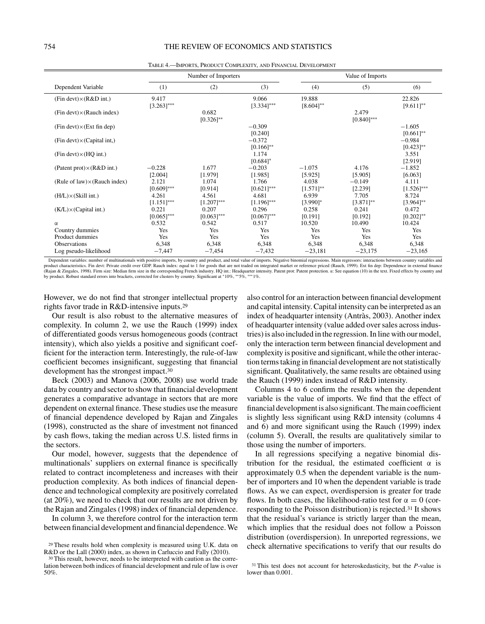|                                      |                          | Number of Importers      |                            |                          | Value of Imports         |                            |  |
|--------------------------------------|--------------------------|--------------------------|----------------------------|--------------------------|--------------------------|----------------------------|--|
| Dependent Variable                   | (1)                      | (2)                      | (3)                        | (4)                      | (5)                      | (6)                        |  |
| (Fin devt) $\times$ (R&D int.)       | 9.417<br>$[3.263]^{***}$ |                          | 9.066<br>$[3.334]^{***}$   | 19.888<br>$[8.604]^{**}$ |                          | 22.826<br>$[9.611]^{**}$   |  |
| (Fin devt) $\times$ (Rauch index)    |                          | 0.682<br>$[0.326]^{**}$  |                            |                          | 2.479<br>$[0.840]^{***}$ |                            |  |
| $(Fin devt) \times (Ext fin dep)$    |                          |                          | $-0.309$<br>[0.240]        |                          |                          | $-1.605$<br>$[0.661]^{**}$ |  |
| (Fin devt) $\times$ (Capital int,)   |                          |                          | $-0.372$<br>$[0.166]^{**}$ |                          |                          | $-0.984$<br>$[0.423]^{**}$ |  |
| (Fin devt) $\times$ (HQ int.)        |                          |                          | 1.174<br>$[0.684]$ *       |                          |                          | 3.551<br>[2.919]           |  |
| (Patent prot) $\times$ (R&D int.)    | $-0.228$<br>[2.004]      | 1.677<br>[1.979]         | $-0.203$<br>[1.985]        | $-1.075$<br>[5.925]      | 4.176<br>[5.905]         | $-1.852$<br>[6.063]        |  |
| (Rule of law) $\times$ (Rauch index) | 2.121<br>$[0.609]^{***}$ | 1.074<br>[0.914]         | 1.766<br>$[0.621]^{***}$   | 4.038<br>$[1.571]^{**}$  | $-0.149$<br>[2.239]      | 4.111<br>$[1.526]^{***}$   |  |
| $(H/L) \times (Skill$ int.)          | 4.261<br>$[1.151]^{***}$ | 4.561<br>$[1.207]^{***}$ | 4.681<br>$[1.196]^{***}$   | 6.939<br>$[3.990]$ *     | 7.705<br>$[3.871]^{**}$  | 8.724<br>$[3.964]^{**}$    |  |
| $(K/L) \times (Capital int.)$        | 0.221<br>$[0.065]^{***}$ | 0.207<br>$[0.063]^{***}$ | 0.296<br>$[0.067]^{***}$   | 0.258<br>[0.191]         | 0.241<br>[0.192]         | 0.472<br>$[0.202]^{**}$    |  |
| $\alpha$                             | 0.532                    | 0.542                    | 0.517                      | 10.520                   | 10.490                   | 10.424                     |  |
| Country dummies                      | Yes                      | Yes                      | Yes                        | Yes                      | Yes                      | Yes                        |  |
| Product dummies                      | Yes                      | Yes                      | Yes                        | Yes                      | Yes                      | Yes                        |  |
| <b>Observations</b>                  | 6,348                    | 6,348                    | 6,348                      | 6,348                    | 6,348                    | 6,348                      |  |
| Log pseudo-likelihood                | $-7,447$                 | $-7,454$                 | $-7,432$                   | $-23,181$                | $-23,175$                | $-23,165$                  |  |

Table 4.—Imports, Product Complexity, and Financial Development

Dependent variables: number of multinationals with positive imports, by country and product, and total value of imports. Negative binomial regressions. Main regressors: interactions between country variables and product characteristics. Fin devt: Private credit over GDP. Rauch index: equal to 1 for goods that are not traded on integrated market or reference priced (Rauch, 1999). Ext fin dep: Dependence in external finance (Rajan & Zingales, 1998). Firm size: Median firm size in the corresponding French industry. HQ int.: Headquarter intensity. Patent prot: Patent protection. α: See equation (10) in the text. Fixed effects by country and by product. Robust standard errors into brackets, corrected for clusters by country. Significant at <sup>∗</sup>10%, ∗∗5%, ∗∗∗1%.

However, we do not find that stronger intellectual property rights favor trade in R&D-intensive inputs.29

Our result is also robust to the alternative measures of complexity. In column 2, we use the Rauch (1999) index of differentiated goods versus homogeneous goods (contract intensity), which also yields a positive and significant coefficient for the interaction term. Interestingly, the rule-of-law coefficient becomes insignificant, suggesting that financial development has the strongest impact.30

Beck (2003) and Manova (2006, 2008) use world trade data by country and sector to show that financial development generates a comparative advantage in sectors that are more dependent on external finance. These studies use the measure of financial dependence developed by Rajan and Zingales (1998), constructed as the share of investment not financed by cash flows, taking the median across U.S. listed firms in the sectors.

Our model, however, suggests that the dependence of multinationals' suppliers on external finance is specifically related to contract incompleteness and increases with their production complexity. As both indices of financial dependence and technological complexity are positively correlated (at 20%), we need to check that our results are not driven by the Rajan and Zingales (1998) index of financial dependence.

In column 3, we therefore control for the interaction term between financial development and financial dependence. We also control for an interaction between financial development and capital intensity. Capital intensity can be interpreted as an index of headquarter intensity (Antràs, 2003). Another index of headquarter intensity (value added over sales across industries) is also included in the regression. In line with our model, only the interaction term between financial development and complexity is positive and significant, while the other interaction terms taking in financial development are not statistically significant. Qualitatively, the same results are obtained using the Rauch (1999) index instead of R&D intensity.

Columns 4 to 6 confirm the results when the dependent variable is the value of imports. We find that the effect of financial development is also significant. The main coefficient is slightly less significant using R&D intensity (columns 4 and 6) and more significant using the Rauch (1999) index (column 5). Overall, the results are qualitatively similar to those using the number of importers.

In all regressions specifying a negative binomial distribution for the residual, the estimated coefficient  $\alpha$  is approximately 0.5 when the dependent variable is the number of importers and 10 when the dependent variable is trade flows. As we can expect, overdispersion is greater for trade flows. In both cases, the likelihood-ratio test for  $\alpha = 0$  (corresponding to the Poisson distribution) is rejected.31 It shows that the residual's variance is strictly larger than the mean, which implies that the residual does not follow a Poisson distribution (overdispersion). In unreported regressions, we check alternative specifications to verify that our results do

<sup>29</sup> These results hold when complexity is measured using U.K. data on R&D or the Lall (2000) index, as shown in Carluccio and Fally (2010).

<sup>30</sup> This result, however, needs to be interpreted with caution as the correlation between both indices of financial development and rule of law is over 50%.

<sup>31</sup> This test does not account for heteroskedasticity, but the *P*-value is lower than 0.001.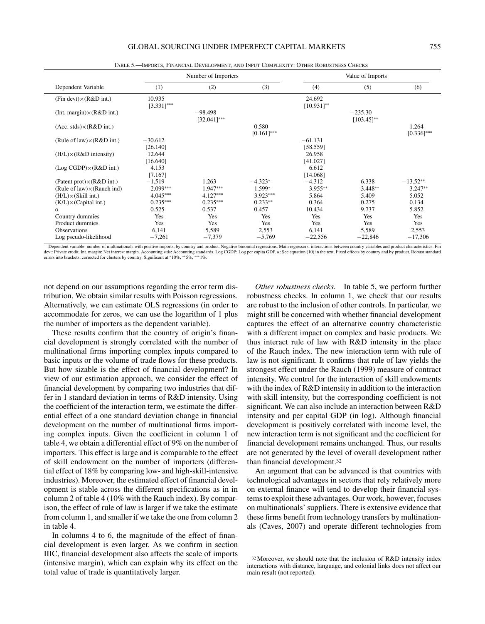|                                    |                           | Number of Importers           |                          |                           | Value of Imports             |                          |
|------------------------------------|---------------------------|-------------------------------|--------------------------|---------------------------|------------------------------|--------------------------|
| Dependent Variable                 | (1)                       | (2)                           | (3)                      | (4)                       | (5)                          | (6)                      |
| (Fin devt) $\times$ (R&D int.)     | 10.935<br>$[3.331]^{***}$ |                               |                          | 24.692<br>$[10.931]^{**}$ |                              |                          |
| (Int. margin) $\times$ (R&D int.)  |                           | $-98.498$<br>$[32.041]^{***}$ |                          |                           | $-235.30$<br>$[103.45]^{**}$ |                          |
| $(Acc. stds) \times (R&D int.)$    |                           |                               | 0.580<br>$[0.161]^{***}$ |                           |                              | 1.264<br>$[0.336]^{***}$ |
| (Rule of law) $\times$ (R&D int.)  | $-30.612$<br>[26.140]     |                               |                          | $-61.131$<br>[58.559]     |                              |                          |
| $(H/L) \times (R\&D$ intensity)    | 12.644<br>[16.640]        |                               |                          | 26.958<br>[41.027]        |                              |                          |
| $(Log CGDP) \times (R&D int.)$     | 4.153<br>[7.167]          |                               |                          | 6.612<br>[14.068]         |                              |                          |
| (Patent prot) $\times$ (R&D int.)  | $-1.519$                  | 1.263                         | $-4.323*$                | $-4.312$                  | 6.338                        | $-13.52**$               |
| (Rule of law) $\times$ (Rauch ind) | $2.099***$                | $1.947***$                    | 1.599*                   | $3.955**$                 | $3.448**$                    | $3.247**$                |
| $(H/L) \times (Skill$ int.)        | $4.045***$                | $4.127***$                    | $3.923***$               | 5.864                     | 5.409                        | 5.052                    |
| $(K/L) \times (Capital int.)$      | $0.235***$                | $0.235***$                    | $0.233**$                | 0.364                     | 0.275                        | 0.134                    |
| $\alpha$                           | 0.525                     | 0.537                         | 0.457                    | 10.434                    | 9.737                        | 5.852                    |
| Country dummies                    | Yes                       | Yes                           | Yes                      | Yes                       | Yes                          | Yes                      |
| Product dummies                    | Yes                       | Yes                           | Yes                      | Yes                       | Yes                          | Yes                      |
| <b>Observations</b>                | 6,141                     | 5,589                         | 2,553                    | 6,141                     | 5,589                        | 2,553                    |
| Log pseudo-likelihood              | $-7,261$                  | $-7,379$                      | $-5,769$                 | $-22,556$                 | $-22,846$                    | $-17,306$                |

Table 5.—Imports, Financial Development, and Input Complexity: Other Robustness Checks

Dependent variable: number of multinationals with positive imports, by country and product. Negative binomial regressions. Main regressors: interactions between country variables and product characteristics. Fin devt: Private credit, Int. margin: Net interest margin. Accounting stds: Accounting standards. Log CGDP: Log per capita GDP. α: See equation (10) in the text. Fixed effects by country and by product. Robust standard<br>errors

not depend on our assumptions regarding the error term distribution. We obtain similar results with Poisson regressions. Alternatively, we can estimate OLS regressions (in order to accommodate for zeros, we can use the logarithm of 1 plus the number of importers as the dependent variable).

These results confirm that the country of origin's financial development is strongly correlated with the number of multinational firms importing complex inputs compared to basic inputs or the volume of trade flows for these products. But how sizable is the effect of financial development? In view of our estimation approach, we consider the effect of financial development by comparing two industries that differ in 1 standard deviation in terms of R&D intensity. Using the coefficient of the interaction term, we estimate the differential effect of a one standard deviation change in financial development on the number of multinational firms importing complex inputs. Given the coefficient in column 1 of table 4, we obtain a differential effect of 9% on the number of importers. This effect is large and is comparable to the effect of skill endowment on the number of importers (differential effect of 18% by comparing low- and high-skill-intensive industries). Moreover, the estimated effect of financial development is stable across the different specifications as in in column 2 of table 4 (10% with the Rauch index). By comparison, the effect of rule of law is larger if we take the estimate from column 1, and smaller if we take the one from column 2 in table 4.

In columns 4 to 6, the magnitude of the effect of financial development is even larger. As we confirm in section IIIC, financial development also affects the scale of imports (intensive margin), which can explain why its effect on the total value of trade is quantitatively larger.

*Other robustness checks*. In table 5, we perform further robustness checks. In column 1, we check that our results are robust to the inclusion of other controls. In particular, we might still be concerned with whether financial development captures the effect of an alternative country characteristic with a different impact on complex and basic products. We thus interact rule of law with R&D intensity in the place of the Rauch index. The new interaction term with rule of law is not significant. It confirms that rule of law yields the strongest effect under the Rauch (1999) measure of contract intensity. We control for the interaction of skill endowments with the index of R&D intensity in addition to the interaction with skill intensity, but the corresponding coefficient is not significant. We can also include an interaction between R&D intensity and per capital GDP (in log). Although financial development is positively correlated with income level, the new interaction term is not significant and the coefficient for financial development remains unchanged. Thus, our results are not generated by the level of overall development rather than financial development.32

An argument that can be advanced is that countries with technological advantages in sectors that rely relatively more on external finance will tend to develop their financial systems to exploit these advantages. Our work, however, focuses on multinationals' suppliers. There is extensive evidence that these firms benefit from technology transfers by multinationals (Caves, 2007) and operate different technologies from

<sup>32</sup> Moreover, we should note that the inclusion of R&D intensity index interactions with distance, language, and colonial links does not affect our main result (not reported).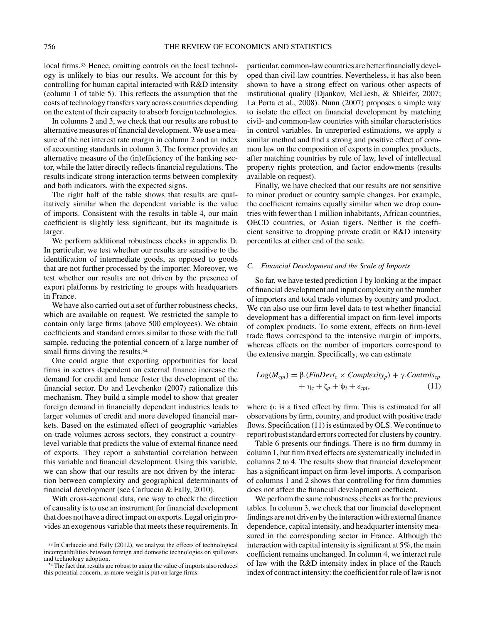local firms.<sup>33</sup> Hence, omitting controls on the local technology is unlikely to bias our results. We account for this by controlling for human capital interacted with R&D intensity (column 1 of table 5). This reflects the assumption that the costs of technology transfers vary across countries depending on the extent of their capacity to absorb foreign technologies.

In columns 2 and 3, we check that our results are robust to alternative measures of financial development. We use a measure of the net interest rate margin in column 2 and an index of accounting standards in column 3. The former provides an alternative measure of the (in)efficiency of the banking sector, while the latter directly reflects financial regulations. The results indicate strong interaction terms between complexity and both indicators, with the expected signs.

The right half of the table shows that results are qualitatively similar when the dependent variable is the value of imports. Consistent with the results in table 4, our main coefficient is slightly less significant, but its magnitude is larger.

We perform additional robustness checks in appendix D. In particular, we test whether our results are sensitive to the identification of intermediate goods, as opposed to goods that are not further processed by the importer. Moreover, we test whether our results are not driven by the presence of export platforms by restricting to groups with headquarters in France.

We have also carried out a set of further robustness checks, which are available on request. We restricted the sample to contain only large firms (above 500 employees). We obtain coefficients and standard errors similar to those with the full sample, reducing the potential concern of a large number of small firms driving the results.<sup>34</sup>

One could argue that exporting opportunities for local firms in sectors dependent on external finance increase the demand for credit and hence foster the development of the financial sector. Do and Levchenko (2007) rationalize this mechanism. They build a simple model to show that greater foreign demand in financially dependent industries leads to larger volumes of credit and more developed financial markets. Based on the estimated effect of geographic variables on trade volumes across sectors, they construct a countrylevel variable that predicts the value of external finance need of exports. They report a substantial correlation between this variable and financial development. Using this variable, we can show that our results are not driven by the interaction between complexity and geographical determinants of financial development (see Carluccio & Fally, 2010).

With cross-sectional data, one way to check the direction of causality is to use an instrument for financial development that does not have a direct impact on exports. Legal origin provides an exogenous variable that meets these requirements. In

particular, common-law countries are better financially developed than civil-law countries. Nevertheless, it has also been shown to have a strong effect on various other aspects of institutional quality (Djankov, McLiesh, & Shleifer, 2007; La Porta et al., 2008). Nunn (2007) proposes a simple way to isolate the effect on financial development by matching civil- and common-law countries with similar characteristics in control variables. In unreported estimations, we apply a similar method and find a strong and positive effect of common law on the composition of exports in complex products, after matching countries by rule of law, level of intellectual property rights protection, and factor endowments (results available on request).

Finally, we have checked that our results are not sensitive to minor product or country sample changes. For example, the coefficient remains equally similar when we drop countries with fewer than 1 million inhabitants, African countries, OECD countries, or Asian tigers. Neither is the coefficient sensitive to dropping private credit or R&D intensity percentiles at either end of the scale.

#### *C. Financial Development and the Scale of Imports*

So far, we have tested prediction 1 by looking at the impact of financial development and input complexity on the number of importers and total trade volumes by country and product. We can also use our firm-level data to test whether financial development has a differential impact on firm-level imports of complex products. To some extent, effects on firm-level trade flows correspond to the intensive margin of imports, whereas effects on the number of importers correspond to the extensive margin. Specifically, we can estimate

$$
Log(M_{cpi}) = \beta.(FinDevt_c \times Complexity_p) + \gamma.Controls_{cp}+ \eta_c + \zeta_p + \phi_i + \varepsilon_{cpi},
$$
 (11)

where  $\phi_i$  is a fixed effect by firm. This is estimated for all observations by firm, country, and product with positive trade flows. Specification (11) is estimated by OLS. We continue to report robust standard errors corrected for clusters by country.

Table 6 presents our findings. There is no firm dummy in column 1, but firm fixed effects are systematically included in columns 2 to 4. The results show that financial development has a significant impact on firm-level imports. A comparison of columns 1 and 2 shows that controlling for firm dummies does not affect the financial development coefficient.

We perform the same robustness checks as for the previous tables. In column 3, we check that our financial development findings are not driven by the interaction with external finance dependence, capital intensity, and headquarter intensity measured in the corresponding sector in France. Although the interaction with capital intensity is significant at 5%, the main coefficient remains unchanged. In column 4, we interact rule of law with the R&D intensity index in place of the Rauch index of contract intensity: the coefficient for rule of law is not

<sup>33</sup> In Carluccio and Fally (2012), we analyze the effects of technological incompatibilities between foreign and domestic technologies on spillovers and technology adoption.

<sup>&</sup>lt;sup>34</sup> The fact that results are robust to using the value of imports also reduces this potential concern, as more weight is put on large firms.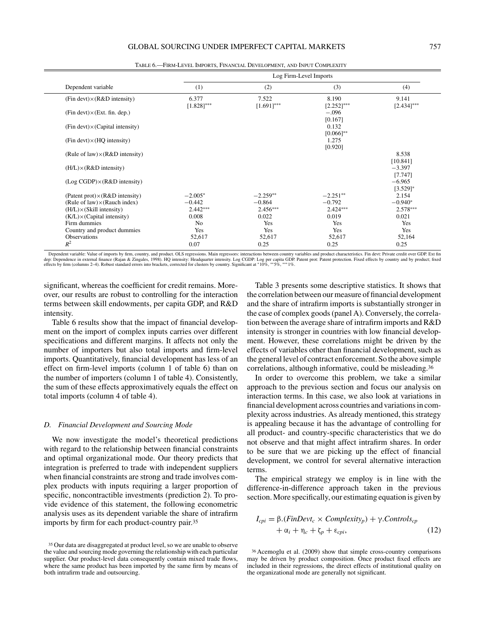|                                         |                          |                          | Log Firm-Level Imports     |                                    |
|-----------------------------------------|--------------------------|--------------------------|----------------------------|------------------------------------|
| Dependent variable                      | (1)                      | (2)                      | (3)                        | (4)                                |
| (Fin devt) $\times$ (R&D intensity)     | 6.377<br>$[1.828]^{***}$ | 7.522<br>$[1.691]^{***}$ | 8.190                      | 9.141<br>$[2.434]^{***}$           |
| $(Fin devt) \times (Ext. fin. dep.)$    |                          |                          | $[2.252]^{***}$<br>$-.096$ |                                    |
| (Fin devt) $\times$ (Capital intensity) |                          |                          | [0.167]<br>0.132           |                                    |
| (Fin devt) $\times$ (HQ intensity)      |                          |                          | $[0.066]^{**}$<br>1.275    |                                    |
| (Rule of law) $\times$ (R&D intensity)  |                          |                          | [0.920]                    | 8.538                              |
| $(H/L) \times (R\&D$ intensity)         |                          |                          |                            | [10.841]<br>$-3.397$               |
| $(Log CGDP) \times (R&D$ intensity)     |                          |                          |                            | [7.747]<br>$-6.965$<br>$[3.529]$ * |
| (Patent prot) $\times$ (R&D intensity)  | $-2.005*$                | $-2.259**$               | $-2.251**$                 | 2.154                              |
| (Rule of law) $\times$ (Rauch index)    | $-0.442$                 | $-0.864$                 | $-0.792$                   | $-0.940*$                          |
| $(H/L) \times (Skill$ intensity)        | $2.442***$               | $2.456***$               | $2.424***$                 | $2.578***$                         |
| $(K/L) \times (Capital$ intensity)      | 0.008                    | 0.022                    | 0.019                      | 0.021                              |
| Firm dummies                            | N <sub>o</sub>           | Yes                      | Yes                        | Yes                                |
| Country and product dummies             | Yes                      | Yes                      | Yes                        | Yes                                |
| <b>Observations</b>                     | 52,617                   | 52,617                   | 52,617                     | 52,164                             |
| $R^2$                                   | 0.07                     | 0.25                     | 0.25                       | 0.25                               |

Table 6.—Firm-Level Imports, Financial Development, and Input Complexity

Dependent variable: Value of imports by firm, country, and product. OLS regressions. Main regressors: interactions between country variables and product characteristics. Fin devt: Private credit over GDP. Ext fin dep: Dependence in external finance (Rajan & Zingales, 1998). HQ intensity: Headquarter intensity. Log CGDP: Log per capita GDP. Patent prot: Patent protection. Fixed effects by country and by product; fixed<br>effects by fir

significant, whereas the coefficient for credit remains. Moreover, our results are robust to controlling for the interaction terms between skill endowments, per capita GDP, and R&D intensity.

Table 6 results show that the impact of financial development on the import of complex inputs carries over different specifications and different margins. It affects not only the number of importers but also total imports and firm-level imports. Quantitatively, financial development has less of an effect on firm-level imports (column 1 of table 6) than on the number of importers (column 1 of table 4). Consistently, the sum of these effects approximatively equals the effect on total imports (column 4 of table 4).

# *D. Financial Development and Sourcing Mode*

We now investigate the model's theoretical predictions with regard to the relationship between financial constraints and optimal organizational mode. Our theory predicts that integration is preferred to trade with independent suppliers when financial constraints are strong and trade involves complex products with inputs requiring a larger proportion of specific, noncontractible investments (prediction 2). To provide evidence of this statement, the following econometric analysis uses as its dependent variable the share of intrafirm imports by firm for each product-country pair.35

Table 3 presents some descriptive statistics. It shows that the correlation between our measure of financial development and the share of intrafirm imports is substantially stronger in the case of complex goods (panel A). Conversely, the correlation between the average share of intrafirm imports and R&D intensity is stronger in countries with low financial development. However, these correlations might be driven by the effects of variables other than financial development, such as the general level of contract enforcement. So the above simple correlations, although informative, could be misleading.36

In order to overcome this problem, we take a similar approach to the previous section and focus our analysis on interaction terms. In this case, we also look at variations in financial development across countries and variations in complexity across industries. As already mentioned, this strategy is appealing because it has the advantage of controlling for all product- and country-specific characteristics that we do not observe and that might affect intrafirm shares. In order to be sure that we are picking up the effect of financial development, we control for several alternative interaction terms.

The empirical strategy we employ is in line with the difference-in-difference approach taken in the previous section. More specifically, our estimating equation is given by

$$
I_{cpi} = \beta.(FinDevt_c \times Complexity_p) + \gamma.Controls_{cp}
$$
  
+  $\alpha_i + \eta_c + \zeta_p + \varepsilon_{cpi}$ , (12)

<sup>36</sup> Acemoglu et al. (2009) show that simple cross-country comparisons may be driven by product composition. Once product fixed effects are included in their regressions, the direct effects of institutional quality on the organizational mode are generally not significant.

<sup>35</sup> Our data are disaggregated at product level, so we are unable to observe the value and sourcing mode governing the relationship with each particular supplier. Our product-level data consequently contain mixed trade flows, where the same product has been imported by the same firm by means of both intrafirm trade and outsourcing.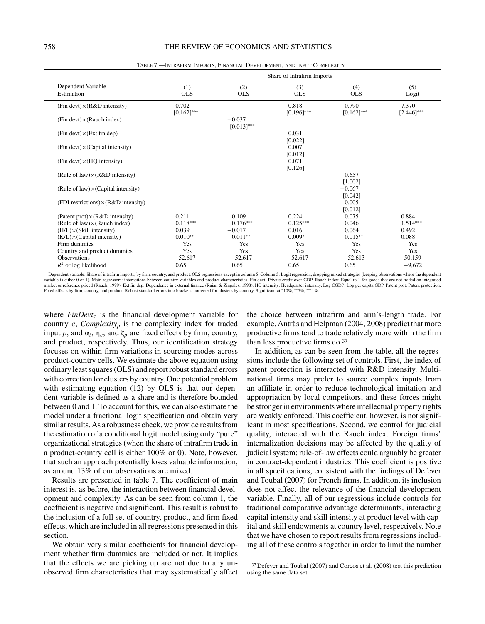|                                             | Share of Intrafirm Imports  |                             |                             |                             |                             |  |  |
|---------------------------------------------|-----------------------------|-----------------------------|-----------------------------|-----------------------------|-----------------------------|--|--|
| Dependent Variable<br>Estimation            | (1)<br><b>OLS</b>           | (2)<br><b>OLS</b>           | (3)<br><b>OLS</b>           | (4)<br><b>OLS</b>           | (5)<br>Logit                |  |  |
| (Fin devt) $\times$ (R&D intensity)         | $-0.702$<br>$[0.162]^{***}$ |                             | $-0.818$<br>$[0.196]^{***}$ | $-0.790$<br>$[0.162]^{***}$ | $-7.370$<br>$[2.446]^{***}$ |  |  |
| (Fin devt) $\times$ (Rauch index)           |                             | $-0.037$<br>$[0.013]^{***}$ |                             |                             |                             |  |  |
| $(Fin devt) \times (Ext fin dep)$           |                             |                             | 0.031<br>[0.022]            |                             |                             |  |  |
| (Fin devt) $\times$ (Capital intensity)     |                             |                             | 0.007<br>[0.012]            |                             |                             |  |  |
| (Fin devt) $\times$ (HQ intensity)          |                             |                             | 0.071<br>[0.126]            |                             |                             |  |  |
| (Rule of law) $\times$ (R&D intensity)      |                             |                             |                             | 0.657<br>[1.002]            |                             |  |  |
| (Rule of law) $\times$ (Capital intensity)  |                             |                             |                             | $-0.067$<br>[0.042]         |                             |  |  |
| (FDI restrictions) $\times$ (R&D intensity) |                             |                             |                             | 0.005<br>[0.012]            |                             |  |  |
| (Patent prot) $\times$ (R&D intensity)      | 0.211                       | 0.109                       | 0.224                       | 0.075                       | 0.884                       |  |  |
| (Rule of law) $\times$ (Rauch index)        | $0.118***$                  | $0.176***$                  | $0.125***$                  | 0.046                       | $1.514***$                  |  |  |
| $(H/L) \times (Skill$ intensity)            | 0.039                       | $-0.017$                    | 0.016                       | 0.064                       | 0.492                       |  |  |
| $(K/L) \times (Capital$ intensity)          | $0.010**$                   | $0.011**$                   | $0.009*$                    | $0.015**$                   | 0.088                       |  |  |
| Firm dummies                                | Yes                         | Yes                         | Yes                         | Yes                         | Yes                         |  |  |
| Country and product dummies                 | Yes                         | Yes                         | Yes                         | Yes                         | Yes                         |  |  |
| <b>Observations</b>                         | 52,617                      | 52,617                      | 52,617                      | 52,613                      | 50,159                      |  |  |
| $R^2$ or log likelihood                     | 0.65                        | 0.65                        | 0.65                        | 0.65                        | $-9,672$                    |  |  |

Table 7.—Intrafirm Imports, Financial Development, and Input Complexity

Dependent variable: Share of intrafirm imports, by firm, country, and product. OLS regressions except in column 5. Logit regression, dropping mixed strategies (keeping observations where the dependent variable is either 0 or 1). Main regressors: interactions between country variables and product characteristics. Fin devt: Private credit over GDP. Rauch index: Equal to 1 for goods that are not traded on integrated market or reference priced (Rauch, 1999). Ext fin dep: Dependence in external finance (Rajan & Zingales, 1998). HQ intensity: Headquarter intensity. Log CGDP: Log per capita GDP. Patent prot: Patent protection. Fixed effects by firm, country, and product. Robust standard errors into brackets, corrected for clusters by country. Significant at <sup>∗</sup>10%, ∗∗5%, ∗∗∗1%.

where  $FinDev_t$  is the financial development variable for country  $c$ , *Complexity*<sub>p</sub> is the complexity index for traded input *p*, and  $\alpha_i$ ,  $\eta_c$ , and  $\zeta_p$  are fixed effects by firm, country, and product, respectively. Thus, our identification strategy focuses on within-firm variations in sourcing modes across product-country cells. We estimate the above equation using ordinary least squares (OLS) and report robust standard errors with correction for clusters by country. One potential problem with estimating equation (12) by OLS is that our dependent variable is defined as a share and is therefore bounded between 0 and 1. To account for this, we can also estimate the model under a fractional logit specification and obtain very similar results. As a robustness check, we provide results from the estimation of a conditional logit model using only "pure" organizational strategies (when the share of intrafirm trade in a product-country cell is either 100% or 0). Note, however, that such an approach potentially loses valuable information, as around 13% of our observations are mixed.

Results are presented in table 7. The coefficient of main interest is, as before, the interaction between financial development and complexity. As can be seen from column 1, the coefficient is negative and significant. This result is robust to the inclusion of a full set of country, product, and firm fixed effects, which are included in all regressions presented in this section.

We obtain very similar coefficients for financial development whether firm dummies are included or not. It implies that the effects we are picking up are not due to any unobserved firm characteristics that may systematically affect

the choice between intrafirm and arm's-length trade. For example, Antràs and Helpman (2004, 2008) predict that more productive firms tend to trade relatively more within the firm than less productive firms do.37

In addition, as can be seen from the table, all the regressions include the following set of controls. First, the index of patent protection is interacted with R&D intensity. Multinational firms may prefer to source complex inputs from an affiliate in order to reduce technological imitation and appropriation by local competitors, and these forces might be stronger in environments where intellectual property rights are weakly enforced. This coefficient, however, is not significant in most specifications. Second, we control for judicial quality, interacted with the Rauch index. Foreign firms' internalization decisions may be affected by the quality of judicial system; rule-of-law effects could arguably be greater in contract-dependent industries. This coefficient is positive in all specifications, consistent with the findings of Defever and Toubal (2007) for French firms. In addition, its inclusion does not affect the relevance of the financial development variable. Finally, all of our regressions include controls for traditional comparative advantage determinants, interacting capital intensity and skill intensity at product level with capital and skill endowments at country level, respectively. Note that we have chosen to report results from regressions including all of these controls together in order to limit the number

<sup>37</sup> Defever and Toubal (2007) and Corcos et al. (2008) test this prediction using the same data set.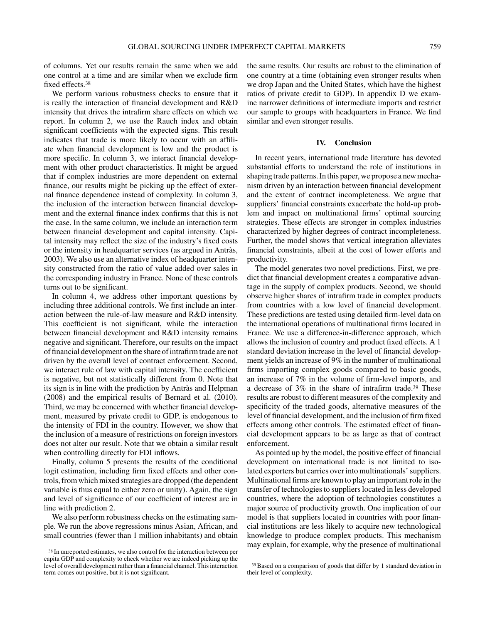of columns. Yet our results remain the same when we add one control at a time and are similar when we exclude firm fixed effects.38

We perform various robustness checks to ensure that it is really the interaction of financial development and R&D intensity that drives the intrafirm share effects on which we report. In column 2, we use the Rauch index and obtain significant coefficients with the expected signs. This result indicates that trade is more likely to occur with an affiliate when financial development is low and the product is more specific. In column 3, we interact financial development with other product characteristics. It might be argued that if complex industries are more dependent on external finance, our results might be picking up the effect of external finance dependence instead of complexity. In column 3, the inclusion of the interaction between financial development and the external finance index confirms that this is not the case. In the same column, we include an interaction term between financial development and capital intensity. Capital intensity may reflect the size of the industry's fixed costs or the intensity in headquarter services (as argued in Antràs, 2003). We also use an alternative index of headquarter intensity constructed from the ratio of value added over sales in the corresponding industry in France. None of these controls turns out to be significant.

In column 4, we address other important questions by including three additional controls. We first include an interaction between the rule-of-law measure and R&D intensity. This coefficient is not significant, while the interaction between financial development and R&D intensity remains negative and significant. Therefore, our results on the impact of financial development on the share of intrafirm trade are not driven by the overall level of contract enforcement. Second, we interact rule of law with capital intensity. The coefficient is negative, but not statistically different from 0. Note that its sign is in line with the prediction by Antràs and Helpman (2008) and the empirical results of Bernard et al. (2010). Third, we may be concerned with whether financial development, measured by private credit to GDP, is endogenous to the intensity of FDI in the country. However, we show that the inclusion of a measure of restrictions on foreign investors does not alter our result. Note that we obtain a similar result when controlling directly for FDI inflows.

Finally, column 5 presents the results of the conditional logit estimation, including firm fixed effects and other controls, from which mixed strategies are dropped (the dependent variable is thus equal to either zero or unity). Again, the sign and level of significance of our coefficient of interest are in line with prediction 2.

We also perform robustness checks on the estimating sample. We run the above regressions minus Asian, African, and small countries (fewer than 1 million inhabitants) and obtain the same results. Our results are robust to the elimination of one country at a time (obtaining even stronger results when we drop Japan and the United States, which have the highest ratios of private credit to GDP). In appendix D we examine narrower definitions of intermediate imports and restrict our sample to groups with headquarters in France. We find similar and even stronger results.

#### **IV. Conclusion**

In recent years, international trade literature has devoted substantial efforts to understand the role of institutions in shaping trade patterns. In this paper, we propose a new mechanism driven by an interaction between financial development and the extent of contract incompleteness. We argue that suppliers' financial constraints exacerbate the hold-up problem and impact on multinational firms' optimal sourcing strategies. These effects are stronger in complex industries characterized by higher degrees of contract incompleteness. Further, the model shows that vertical integration alleviates financial constraints, albeit at the cost of lower efforts and productivity.

The model generates two novel predictions. First, we predict that financial development creates a comparative advantage in the supply of complex products. Second, we should observe higher shares of intrafirm trade in complex products from countries with a low level of financial development. These predictions are tested using detailed firm-level data on the international operations of multinational firms located in France. We use a difference-in-difference approach, which allows the inclusion of country and product fixed effects. A 1 standard deviation increase in the level of financial development yields an increase of 9% in the number of multinational firms importing complex goods compared to basic goods, an increase of 7% in the volume of firm-level imports, and a decrease of 3% in the share of intrafirm trade.39 These results are robust to different measures of the complexity and specificity of the traded goods, alternative measures of the level of financial development, and the inclusion of firm fixed effects among other controls. The estimated effect of financial development appears to be as large as that of contract enforcement.

As pointed up by the model, the positive effect of financial development on international trade is not limited to isolated exporters but carries over into multinationals' suppliers. Multinational firms are known to play an important role in the transfer of technologies to suppliers located in less developed countries, where the adoption of technologies constitutes a major source of productivity growth. One implication of our model is that suppliers located in countries with poor financial institutions are less likely to acquire new technological knowledge to produce complex products. This mechanism may explain, for example, why the presence of multinational

<sup>38</sup> In unreported estimates, we also control for the interaction between per capita GDP and complexity to check whether we are indeed picking up the level of overall development rather than a financial channel. This interaction term comes out positive, but it is not significant.

<sup>39</sup>Based on a comparison of goods that differ by 1 standard deviation in their level of complexity.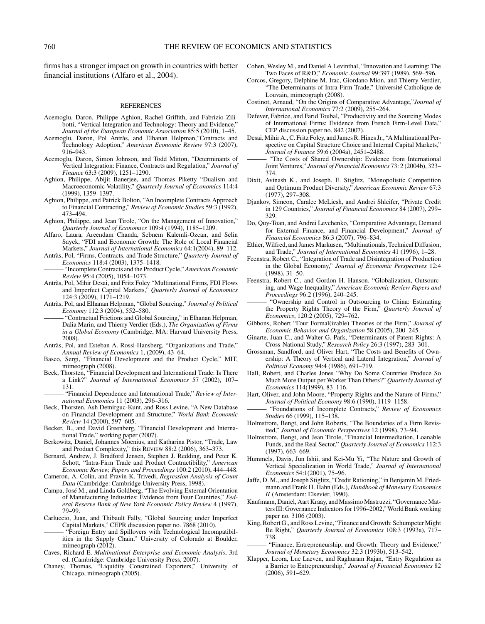firms has a stronger impact on growth in countries with better financial institutions (Alfaro et al., 2004).

#### REFERENCES

- Acemoglu, Daron, Philippe Aghion, Rachel Griffith, and Fabrizio Zilibotti, "Vertical Integration and Technology: Theory and Evidence," *Journal of the European Economic Association* 85:5 (2010), 1–45.
- Acemoglu, Daron, Pol Antràs, and Elhanan Helpman,"Contracts and Technology Adoption," *American Economic Review* 97:3 (2007), 916–943.
- Acemoglu, Daron, Simon Johnson, and Todd Mitton, "Determinants of Vertical Integration: Finance, Contracts and Regulation," *Journal of Finance* 63:3 (2009), 1251–1290.
- Aghion, Philippe, Abijit Banerjee, and Thomas Piketty "Dualism and Macroeconomic Volatility," *Quarterly Journal of Economics* 114:4 (1999), 1359–1397.
- Aghion, Philippe, and Patrick Bolton, "An Incomplete Contracts Approach to Financial Contracting," *Review of Economic Studies* 59:3 (1992), 473–494.
- Aghion, Philippe, and Jean Tirole, "On the Management of Innovation," *Quarterly Journal of Economics* 109:4 (1994), 1185–1209.
- Alfaro, Laura, Areendam Chanda, Sebnem Kalemli-Ozcan, and Selin Sayek, "FDI and Economic Growth: The Role of Local Financial Markets," *Journal of International Economics* 64:1(2004), 89–112.
- Antràs, Pol, "Firms, Contracts, and Trade Structure," *Quarterly Journal of Economics* 118:4 (2003), 1375–1418.
- ——— "Incomplete Contracts and the Product Cycle," *American Economic Review* 95:4 (2005), 1054–1073.
- Antràs, Pol, Mihir Desai, and Fritz Foley "Multinational Firms, FDI Flows and Imperfect Capital Markets," *Quarterly Journal of Economics* 124:3 (2009), 1171–1219.
- Antràs, Pol, and Elhanan Helpman, "Global Sourcing," *Journal of Political Economy* 112:3 (2004), 552–580.
	- "Contractual Frictions and Global Sourcing," in Elhanan Helpman, Dalia Marin, and Thierry Verdier (Eds.), *The Organization of Firms in a Global Economy* (Cambridge, MA: Harvard University Press, 2008).
- Antràs, Pol, and Esteban A. Rossi-Hansberg, "Organizations and Trade," *Annual Review of Economics* 1, (2009), 43–64.
- Basco, Sergi, "Financial Development and the Product Cycle," MIT, mimeograph (2008).
- Beck, Thorsten, "Financial Development and International Trade: Is There a Link?" *Journal of International Economics* 57 (2002), 107– 131.
	- ——— "Financial Dependence and International Trade," *Review of International Economics* 11 (2003), 296–316.
- Beck, Thorsten, Ash Demirguc-Kunt, and Ross Levine, "A New Database on Financial Development and Structure," *World Bank Economic Review* 14 (2000), 597–605.
- Becker, B., and David Greenberg, "Financial Development and International Trade," working paper (2007).
- Berkowitz, Daniel, Johannes Moenius, and Katharina Pistor, "Trade, Law and Product Complexity," this Review 88:2 (2006), 363–373.
- Bernard, Andrew, J. Bradford Jensen, Stephen J. Redding, and Peter K. Schott, "Intra-Firm Trade and Product Contractibility," *American Economic Review, Papers and Proceedings* 100:2 (2010), 444–448.
- Cameron, A. Colin, and Pravin K. Trivedi, *Regression Analysis of Count Data* (Cambridge: Cambridge University Press, 1998).
- Campa, José M., and Linda Goldberg, "The Evolving External Orientation of Manufacturing Industries: Evidence from Four Countries," *Federal Reserve Bank of New York Economic Policy Review* 4 (1997), 79–99.
- Carluccio, Juan, and Thibault Fally, "Global Sourcing under Imperfect Capital Markets," CEPR discussion paper no. 7868 (2010).
	- ——— "Foreign Entry and Spillovers with Technological Incompatibilities in the Supply Chain," University of Colorado at Boulder, mimeograph (2012).
- Caves, Richard E. *Multinational Enterprise and Economic Analysis*, 3rd ed. (Cambridge: Cambridge University Press, 2007).
- Chaney, Thomas, "Liquidity Constrained Exporters," University of Chicago, mimeograph (2005).
- Cohen, Wesley M., and Daniel A Levinthal, "Innovation and Learning: The Two Faces of R&D," *Economic Journal* 99:397 (1989), 569–596.
- Corcos, Gregory, Delphine M. Irac, Giordano Mion, and Thierry Verdier, "The Determinants of Intra-Firm Trade," Université Catholique de Louvain, mimeograph (2008).
- Costinot, Arnaud, "On the Origins of Comparative Advantage,"*Journal of International Economics* 77:2 (2009), 255–264.
- Defever, Fabrice, and Farid Toubal, "Productivity and the Sourcing Modes of International Firms: Evidence from French Firm-Level Data," CEP discussion paper no. 842 (2007).
- Desai, Mihir A., C. Fritz Foley, and James R. Hines Jr., "A Multinational Perspective on Capital Structure Choice and Internal Capital Markets," *Journal of Finance* 59:6 (2004a), 2451–2488.
- "The Costs of Shared Ownership: Evidence from International Joint Ventures," *Journal of Financial Economics* 73: 2 (2004b), 323– 374.
- Dixit, Avinash K., and Joseph. E. Stiglitz, "Monopolistic Competition and Optimum Product Diversity," *American Economic Review* 67:3 (1977), 297–308.
- Djankov, Simeon, Caralee McLiesh, and Andrei Shleifer, "Private Credit in 129 Countries," *Journal of Financial Economics* 84 (2007), 299– 329.
- Do, Quy-Toan, and Andrei Levchenko, "Comparative Advantage, Demand for External Finance, and Financial Development," *Journal of Financial Economics* 86:3 (2007), 796–834.
- Ethier, Wilfred, and James Markusen, "Multinationals, Technical Diffusion, and Trade," *Journal of International Economics* 41 (1996), 1–28.
- Feenstra, Robert C., "Integration of Trade and Disintegration of Production in the Global Economy," *Journal of Economic Perspectives* 12:4 (1998), 31–50.
- Feenstra, Robert C., and Gordon H. Hanson. "Globalization, Outsourcing, and Wage Inequality," *American Economic Review Papers and Proceedings* 96:2 (1996), 240–245.
- "Ownership and Control in Outsourcing to China: Estimating the Property Rights Theory of the Firm," *Quarterly Journal of Economics*, 120:2 (2005), 729–762.
- Gibbons, Robert "Four Formal(izable) Theories of the Firm," *Journal of Economic Behavior and Organization* 58 (2005), 200–245.
- Ginarte, Juan C., and Walter G. Park, "Determinants of Patent Rights: A Cross-National Study," *Research Policy* 26:3 (1997), 283–301.
- Grossman, Sandford, and Oliver Hart, "The Costs and Benefits of Ownership: A Theory of Vertical and Lateral Integration," *Journal of Political Economy* 94:4 (1986), 691–719.
- Hall, Robert, and Charles Jones "Why Do Some Countries Produce So Much More Output per Worker Than Others?" *Quarterly Journal of Economics* 114(1999), 83–116.
- Hart, Oliver, and John Moore, "Property Rights and the Nature of Firms," *Journal of Political Economy* 98:6 (1990), 1119–1158.
- ——— "Foundations of Incomplete Contracts," *Review of Economics Studies* 66 (1999), 115–138.
- Holmstrom, Bengt, and John Roberts, "The Boundaries of a Firm Revisited," *Journal of Economic Perspectives* 12 (1998), 73–94.
- Holmstrom, Bengt, and Jean Tirole, "Financial Intermediation, Loanable Funds, and the Real Sector," *Quarterly Journal of Economics* 112:3 (1997), 663–669.
- Hummels, Davis, Jun Ishii, and Kei-Mu Yi, "The Nature and Growth of Vertical Specialization in World Trade," *Journal of International Economics* 54:1(2001), 75–96.
- Jaffe, D. M., and Joseph Stiglitz, "Credit Rationing," in Benjamin M. Friedmann and Frank H. Hahn (Eds.), *Handbook of Monetary Economics II* (Amsterdam: Elsevier, 1990).
- Kaufmann, Daniel, Aart Kraay, and Massimo Mastruzzi, "Governance Matters III: Governance Indicators for 1996–2002," World Bank working paper no. 3106 (2003).
- King, Robert G., and Ross Levine, "Finance and Growth: Schumpeter Might Be Right," *Quarterly Journal of Economics* 108:3 (1993a), 717– 738.
	- "Finance, Entrepreneurship, and Growth: Theory and Evidence," *Journal of Monetary Economics* 32:3 (1993b), 513–542.
- Klapper, Leora, Luc Laeven, and Raghuram Rajan, "Entry Regulation as a Barrier to Entrepreneurship," *Journal of Financial Economics* 82 (2006), 591–629.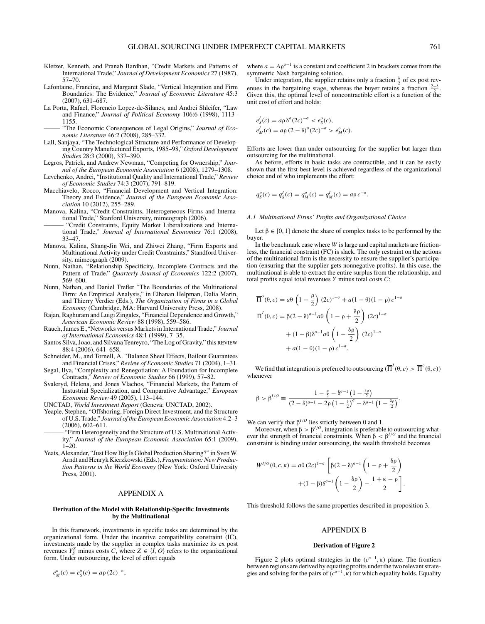- Kletzer, Kenneth, and Pranab Bardhan, "Credit Markets and Patterns of International Trade," *Journal of Development Economics* 27 (1987), 57–70.
- Lafontaine, Francine, and Margaret Slade, "Vertical Integration and Firm Boundaries: The Evidence," *Journal of Economic Literature* 45:3 (2007), 631–687.
- La Porta, Rafael, Florencio Lopez-de-Silanes, and Andrei Shleifer, "Law and Finance," *Journal of Political Economy* 106:6 (1998), 1113– 1155.
- "The Economic Consequences of Legal Origins," Journal of Eco*nomic Literature* 46:2 (2008), 285–332.
- Lall, Sanjaya, "The Technological Structure and Performance of Developing Country Manufactured Exports, 1985–98," *Oxford Development Studies* 28:3 (2000), 337–390.
- Legros, Patrick, and Andrew Newman, "Competing for Ownership," *Journal of the European Economic Association* 6 (2008), 1279–1308.
- Levchenko, Andrei, "Institutional Quality and International Trade," *Review of Economic Studies* 74:3 (2007), 791–819.
- Macchiavelo, Rocco, "Financial Development and Vertical Integration: Theory and Evidence," *Journal of the European Economic Association* 10 (2012), 255–289.
- Manova, Kalina, "Credit Constraints, Heterogeneous Firms and International Trade," Stanford University, mimeograph (2006).
- "Credit Constraints, Equity Market Liberalizations and International Trade," *Journal of International Economics* 76:1 (2008), 33–47.
- Manova, Kalina, Shang-Jin Wei, and Zhiwei Zhang, "Firm Exports and Multinational Activity under Credit Constraints," Standford University, mimeograph (2009).
- Nunn, Nathan, "Relationship Specificity, Incomplete Contracts and the Pattern of Trade," *Quarterly Journal of Economics* 122:2 (2007), 569–600.
- Nunn, Nathan, and Daniel Trefler "The Boundaries of the Multinational Firm: An Empirical Analysis," in Elhanan Helpman, Dalia Marin, and Thierry Verdier (Eds.), *The Organization of Firms in a Global Economy* (Cambridge, MA: Harvard University Press, 2008).
- Rajan, Raghuram and Luigi Zingales, "Financial Dependence and Growth," *American Economic Review* 88 (1998), 559–586.
- Rauch, James E.,"Networks versus Markets in International Trade," *Journal of International Economics* 48:1 (1999), 7–35.
- Santos Silva, Joao, and Silvana Tenreyro, "The Log of Gravity," this review 88:4 (2006), 641–658.
- Schneider, M., and Tornell, A. "Balance Sheet Effects, Bailout Guarantees and Financial Crises," *Review of Economic Studies* 71 (2004), 1–31.
- Segal, Ilya, "Complexity and Renegotiation: A Foundation for Incomplete Contracts," *Review of Economic Studies* 66 (1999), 57–82.
- Svaleryd, Helena, and Jones Vlachos, "Financial Markets, the Pattern of Instustrial Specialization, and Comparative Advantage," *European Economic Review* 49 (2005), 113–144.

UNCTAD, *World Investment Report* (Geneva: UNCTAD, 2002).

- Yeaple, Stephen, "Offshoring, Foreign Direct Investment, and the Structure of U.S. Trade," *Journal of the European Economic Association* 4:2–3 (2006), 602–611.
- "Firm Heterogeneity and the Structure of U.S. Multinational Activity," *Journal of the European Economic Association* 65:1 (2009),  $1 - 20$ .
- Yeats, Alexander, "Just How Big Is Global Production Sharing?" in Sven W. Arndt and Henryk Kierzkowski (Eds.), *Fragmentation: New Production Patterns in the World Economy* (New York: Oxford University Press, 2001).

# APPENDIX A

#### **Derivation of the Model with Relationship-Specific Investments by the Multinational**

In this framework, investments in specific tasks are determined by the organizational form. Under the incentive compatibility constraint (IC), investments made by the supplier in complex tasks maximize its ex post revenues  $Y_s^Z$  minus costs *C*, where  $Z \in \{I, O\}$  refers to the organizational form. Under outsourcing, the level of effort equals

where 
$$
a = A\rho^{\sigma-1}
$$
 is a constant and coefficient 2 in brackets comes from the symmetric Nash bargaining solution.

Under integration, the supplier retains only a fraction  $\frac{\delta}{2}$  of ex post revenues in the bargaining stage, whereas the buyer retains a fraction  $\frac{2-\delta}{2}$ . Given this, the optimal level of noncontractible effort is a function of the unit cost of effort and holds:

$$
e_S^l(c) = a\rho \delta^{\sigma} (2c)^{-\sigma} < e_S^o(c),
$$
\n
$$
e_M^l(c) = a\rho \left(2 - \delta\right)^{\sigma} (2c)^{-\sigma} > e_M^o(c).
$$

Efforts are lower than under outsourcing for the supplier but larger than outsourcing for the multinational.

As before, efforts in basic tasks are contractible, and it can be easily shown that the first-best level is achieved regardless of the organizational choice and of who implements the effort:

$$
q_S^o(c) = q_S^l(c) = q_M^o(c) = q_M^l(c) = a\rho c^{-\sigma}.
$$

#### *A.1 Multinational Firms' Profits and Organizational Choice*

Let  $\beta \in [0, 1]$  denote the share of complex tasks to be performed by the buyer.

In the benchmark case where *W* is large and capital markets are frictionless, the financial constraint (FC) is slack. The only restraint on the actions of the multinational firm is the necessity to ensure the supplier's participation (ensuring that the supplier gets nonnegative profits). In this case, the multinational is able to extract the entire surplus from the relationship, and total profits equal total revenues *Y* minus total costs *C*:

$$
\overline{\Pi}^{\circ}(\theta, c) = a\theta \left(1 - \frac{\rho}{2}\right) (2c)^{1-\sigma} + a(1 - \theta)(1 - \rho) c^{1-\sigma}
$$

$$
\overline{\Pi}^{\prime}(\theta, c) = \beta(2 - \delta)^{\sigma-1} a\theta \left(1 - \rho + \frac{\delta\rho}{2}\right) (2c)^{1-\sigma}
$$

$$
+ (1 - \beta)\delta^{\sigma-1} a\theta \left(1 - \frac{\delta\rho}{2}\right) (2c)^{1-\sigma}
$$

$$
+ a(1 - \theta)(1 - \rho) c^{1-\sigma}.
$$

We find that integration is preferred to outsourcing  $(\overline{\Pi}^I(\theta, c) > \overline{\Pi}^o(\theta, c))$ whenever

$$
\beta>\beta^{I/O}\equiv\frac{1-\frac{\rho}{2}-\delta^{\sigma-1}\left(1-\frac{\delta\rho}{2}\right)}{(2-\delta)^{\sigma-1}-2\rho\left(1-\frac{\delta}{2}\right)^{\sigma}-\delta^{\sigma-1}\left(1-\frac{\delta\rho}{2}\right)}.
$$

We can verify that  $\beta^{I/O}$  lies strictly between 0 and 1.

Moreover, when  $β > β<sup>I/O</sup>$ , integration is preferable to outsourcing whatever the strength of financial constraints. When  $β < β<sup>I/O</sup>$  and the financial constraint is binding under outsourcing, the wealth threshold becomes

$$
W^{1/O}(\theta, c, \kappa) = a\theta (2c)^{1-\sigma} \left[ \beta(2-\delta)^{\sigma-1} \left( 1 - \rho + \frac{\delta \rho}{2} \right) + (1-\beta)\delta^{\sigma-1} \left( 1 - \frac{\delta \rho}{2} \right) - \frac{1+\kappa-\rho}{2} \right].
$$

This threshold follows the same properties described in proposition 3.

#### APPENDIX B

#### **Derivation of Figure 2**

Figure 2 plots optimal strategies in the  $(c^{\sigma-1}, \kappa)$  plane. The frontiers between regions are derived by equating profits under the two relevant strate-gies and solving for the pairs of *(c*<sup>σ</sup><sup>−</sup>1, κ*)* for which equality holds. Equality

 $e^{\circ}_M(c) = e^{\circ}_S(c) = a\rho(2c)^{-\sigma}$ ,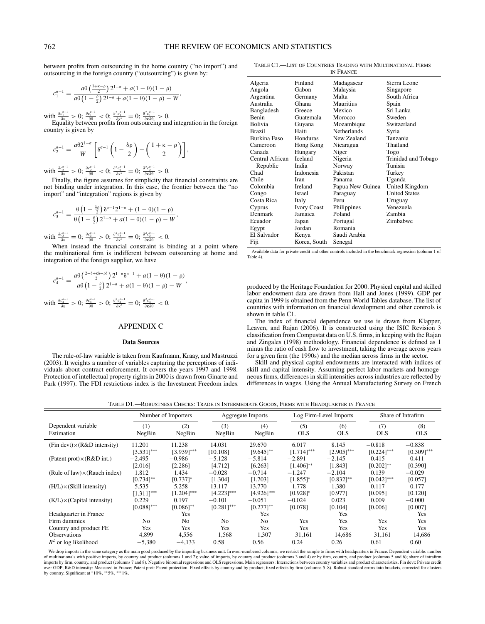between profits from outsourcing in the home country ("no import") and outsourcing in the foreign country ("outsourcing") is given by:

$$
c_1^{\sigma-1} = \frac{a\theta\left(\frac{1+\kappa-\rho}{2}\right)2^{1-\sigma} + a(1-\theta)(1-\rho)}{a\theta\left(1-\frac{\rho}{2}\right)2^{1-\sigma} + a(1-\theta)(1-\rho) - W},
$$

with  $\frac{\partial c_1^{q-1}}{\partial \kappa} > 0$ ;  $\frac{\partial c_1^{q-1}}{\partial \kappa} < 0$ ;  $\frac{\partial^2 c_1^{q-1}}{\partial \kappa^2} = 0$ ;  $\frac{\partial^2 c_1^{q-1}}{\partial \kappa \kappa} > 0$ .<br>Equality between profits from outsourcing and integration in the foreign country is given by

$$
c_2^{\sigma-1} = \frac{a\theta 2^{1-\sigma}}{W} \left[ \delta^{\sigma-1} \left( 1 - \frac{\delta \rho}{2} \right) - \left( \frac{1+\kappa - \rho}{2} \right) \right],
$$

with  $\frac{\partial c_2^{\sigma-1}}{\partial \kappa} > 0$ ;  $\frac{\partial c_2^{\sigma-1}}{\partial \theta} < 0$ ;  $\frac{\partial^2 c_2^{\sigma-1}}{\partial \kappa^2} = 0$ ;  $\frac{\partial^2 c_2^{\sigma-1}}{\partial \kappa \partial \theta} > 0$ .

Finally, the figure assumes for simplicity that financial constraints are not binding under integration. In this case, the frontier between the "no import" and "integration" regions is given by

$$
c_3^{\sigma-1} = \frac{\theta\left(1 - \frac{\delta\rho}{2}\right)\delta^{\sigma-1}2^{1-\sigma} + (1-\theta)(1-\rho)}{\theta\left(1 - \frac{\rho}{2}\right)2^{1-\sigma} + a(1-\theta)(1-\rho) - W},
$$

 $\frac{\partial^2 c_3^{a-1}}{\partial k} = 0; \frac{\partial c_3^{a-1}}{\partial \theta} > 0; \frac{\partial^2 c_3^{a-1}}{\partial \kappa^2} = 0; \frac{\partial^2 c_3^{a-1}}{\partial \kappa \partial \theta} < 0.$ 

When instead the financial constraint is binding at a point where the multinational firm is indifferent between outsourcing at home and integration of the foreign supplier, we have

$$
c_4^{\sigma-1} = \frac{a\theta\left(\frac{2-\delta+\kappa\delta-\rho\delta}{2}\right)2^{1-\sigma}\delta^{\sigma-1} + a(1-\theta)(1-\rho)}{a\theta\left(1-\frac{\rho}{2}\right)2^{1-\sigma} + a(1-\theta)(1-\rho) - W},
$$
  
ith  $\frac{\partial c_4^{\sigma-1}}{\partial \kappa} > 0$ ;  $\frac{\partial c_4^{\sigma-1}}{\partial \theta} > 0$ ;  $\frac{\partial^2 c_4^{\sigma-1}}{\partial \kappa^2} = 0$ ;  $\frac{\partial^2 c_4^{\sigma-1}}{\partial \kappa \partial \theta} < 0$ .

#### APPENDIX C

#### **Data Sources**

The rule-of-law variable is taken from Kaufmann, Kraay, and Mastruzzi (2003). It weights a number of variables capturing the perceptions of individuals about contract enforcement. It covers the years 1997 and 1998. Protection of intellectual property rights in 2000 is drawn from Ginarte and Park (1997). The FDI restrictions index is the Investment Freedom index

| TABLE C1.—LIST OF COUNTRIES TRADING WITH MULTINATIONAL FIRMS |  |
|--------------------------------------------------------------|--|
| IN FRANCE                                                    |  |

| Algeria         | Finland            | Madagascar         | Sierra Leone         |
|-----------------|--------------------|--------------------|----------------------|
| Angola          | Gabon              | Malaysia           | Singapore            |
| Argentina       | Germany            | Malta              | South Africa         |
| Australia       | Ghana              | Mauritius          | Spain                |
| Bangladesh      | Greece             | Mexico             | Sri Lanka            |
| <b>Benin</b>    | Guatemala          | Morocco            | Sweden               |
| Bolivia         | Guyana             | Mozambique         | Switzerland          |
| Brazil          | Haiti              | <b>Netherlands</b> | Syria                |
| Burkina Faso    | Honduras           | New Zealand        | Tanzania             |
| Cameroon        | Hong Kong          | Nicaragua          | Thailand             |
| Canada          | Hungary            | Niger              | Togo                 |
| Central African | Iceland            | Nigeria            | Trinidad and Tobago  |
| Republic        | India              | Norway             | Tunisia              |
| Chad            | Indonesia          | Pakistan           | Turkey               |
| Chile           | Iran               | Panama             | Uganda               |
| Colombia        | Ireland            | Papua New Guinea   | United Kingdom       |
| Congo           | Israel             | Paraguay           | <b>United States</b> |
| Costa Rica      | Italy              | Peru               | Uruguay              |
| Cyprus          | <b>Ivory Coast</b> | Philippines        | Venezuela            |
| Denmark         | Jamaica            | Poland             | Zambia               |
| Ecuador         | Japan              | Portugal           | Zimbabwe             |
| Egypt           | Jordan             | Romania            |                      |
| El Salvador     | Kenya              | Saudi Arabia       |                      |
| Fiji            | Korea, South       | Senegal            |                      |
|                 |                    |                    |                      |

Available data for private credit and other controls included in the benchmark regression (column 1 of Table 4).

produced by the Heritage Foundation for 2000. Physical capital and skilled labor endowment data are drawn from Hall and Jones (1999). GDP per capita in 1999 is obtained from the Penn World Tables database. The list of countries with information on financial development and other controls is shown in table C1.

The index of financial dependence we use is drawn from Klapper, Leaven, and Rajan (2006). It is constructed using the ISIC Revision 3 classification from Compustat data on U.S. firms, in keeping with the Rajan and Zingales (1998) methodology. Financial dependence is defined as 1 minus the ratio of cash flow to investment, taking the average across years for a given firm (the 1990s) and the median across firms in the sector.

Skill and physical capital endowments are interacted with indices of skill and capital intensity. Assuming perfect labor markets and homogeneous firms, differences in skill intensities across industries are reflected by differences in wages. Using the Annual Manufacturing Survey on French

Table D1.—Robustness Checks: Trade in Intermediate Goods, Firms with Headquarter in France

|                                      |                           | Number of Importers       |                             | Aggregate Imports          |                            | Log Firm-Level Imports     |                             | Share of Intrafirm          |
|--------------------------------------|---------------------------|---------------------------|-----------------------------|----------------------------|----------------------------|----------------------------|-----------------------------|-----------------------------|
| Dependent variable<br>Estimation     | (1)<br>NegBin             | (2)<br>NegBin             | (3)<br>NegBin               | (4)<br>NegBin              | (5)<br><b>OLS</b>          | (6)<br><b>OLS</b>          | (7)<br><b>OLS</b>           | (8)<br><b>OLS</b>           |
| (Fin devt) $\times$ (R&D intensity)  | 11.201<br>$[3.531]^{***}$ | 11.238<br>$[3.939]^{***}$ | 14.031<br>[10.108]          | 29.670<br>$[9.645]^{**}$   | 6.017<br>$[1.714]^{***}$   | 8.145<br>$[2.905]^{***}$   | $-0.818$<br>$[0.224]^{***}$ | $-0.838$<br>$[0.309]^{***}$ |
| (Patent prot) $\times$ (R&D int.)    | $-2.495$<br>[2.016]       | $-0.986$<br>[2.286]       | $-5.128$<br>[4.712]         | $-5.814$<br>[6.263]        | $-2.891$<br>$[1.406]^{**}$ | $-2.145$<br>[1.843]        | 0.415<br>$[0.202]^{**}$     | 0.411<br>[0.390]            |
| (Rule of law) $\times$ (Rauch index) | 1.812<br>$[0.734]^{**}$   | 1.434<br>$[0.737]$ *      | $-0.028$<br>[1.304]         | $-0.714$<br>[1.703]        | $-1.247$<br>$[1.855]^{*}$  | $-2.104$<br>$[0.832]^{**}$ | 0.139<br>$[0.042]^{***}$    | $-0.029$<br>[0.057]         |
| $(H/L) \times (Skill$ intensity)     | 5.535<br>$[1.311]^{***}$  | 5.258<br>$[1.204]^{***}$  | 13.117<br>$[4.223]$ ***     | 13.770<br>$[4.926]^{***}$  | 1.778<br>$[0.928]$ *       | 1.380<br>[0.977]           | 0.117<br>[0.095]            | 0.177<br>[0.120]            |
| $(K/L) \times (Capital$ intensity)   | 0.229<br>$[0.088]^{***}$  | 0.197<br>$[0.086]^{**}$   | $-0.101$<br>$[0.281]^{***}$ | $-0.051$<br>$[0.277]^{**}$ | $-0.024$<br>[0.078]        | 0.023<br>[0.104]           | 0.009<br>[0.006]            | $-0.000$<br>[0.007]         |
| Headquarter in France                |                           | Yes                       |                             | Yes                        |                            | Yes                        |                             | Yes                         |
| Firm dummies                         | N <sub>0</sub>            | No                        | N <sub>o</sub>              | No.                        | Yes                        | Yes                        | Yes                         | Yes                         |
| Country and product FE               | Yes                       | Yes                       | Yes                         | Yes                        | Yes                        | Yes                        | Yes                         | Yes                         |
| <b>Observations</b>                  | 4,899                     | 4,556                     | 1,568                       | 1,307                      | 31,161                     | 14,686                     | 31,161                      | 14,686                      |
| $R^2$ or log likelihood              | $-5,380$                  | $-4,133$                  | 0.58                        | 0.56                       | 0.24                       | 0.26                       | 0.61                        | 0.60                        |

We drop imports in the same category as the main good produced by the importing business unit. In even-numbered columns, we restrict the sample to firms with headquarters in France. Dependent variable: number<br>of multinatio by country. Significant at <sup>∗</sup>10%, ∗∗5%, ∗∗∗1%.

with *<sup>∂</sup>c*σ−<sup>1</sup>

É